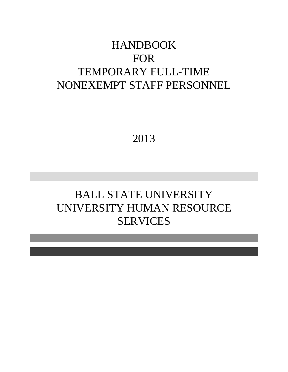# HANDBOOK FOR TEMPORARY FULL-TIME NONEXEMPT STAFF PERSONNEL

2013

# BALL STATE UNIVERSITY UNIVERSITY HUMAN RESOURCE SERVICES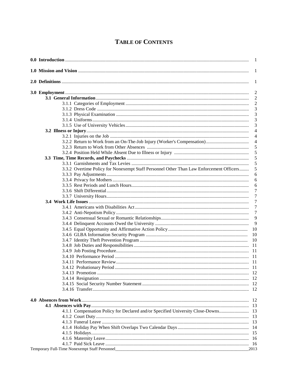# **TABLE OF CONTENTS**

|                            | $\overline{1}$                                                                               |
|----------------------------|----------------------------------------------------------------------------------------------|
|                            | 1                                                                                            |
|                            | 1                                                                                            |
|                            | $\overline{2}$                                                                               |
|                            | $\overline{2}$                                                                               |
|                            |                                                                                              |
|                            |                                                                                              |
|                            | 3                                                                                            |
|                            | 3                                                                                            |
|                            | 3                                                                                            |
|                            | $\overline{4}$                                                                               |
|                            | $\overline{4}$                                                                               |
|                            | $\overline{4}$                                                                               |
|                            | 5                                                                                            |
|                            | 5                                                                                            |
|                            | 5                                                                                            |
|                            | 5                                                                                            |
|                            | 3.3.2 Overtime Policy for Nonexempt Staff Personnel Other Than Law Enforcement Officers<br>5 |
|                            | 6                                                                                            |
|                            | 6                                                                                            |
|                            | 6                                                                                            |
|                            | 7                                                                                            |
|                            | $\tau$                                                                                       |
|                            | 7                                                                                            |
|                            | 7                                                                                            |
|                            | 7                                                                                            |
|                            | 9                                                                                            |
|                            | 9                                                                                            |
|                            | - 10                                                                                         |
|                            |                                                                                              |
|                            |                                                                                              |
|                            |                                                                                              |
|                            |                                                                                              |
|                            |                                                                                              |
|                            |                                                                                              |
| 3.4.12 Probationary Period |                                                                                              |
|                            |                                                                                              |
|                            |                                                                                              |
|                            |                                                                                              |
|                            |                                                                                              |
|                            |                                                                                              |
|                            | 4.1.1 Compensation Policy for Declared and/or Specified University Close-Downs               |
|                            |                                                                                              |
|                            |                                                                                              |
|                            |                                                                                              |
|                            |                                                                                              |
|                            |                                                                                              |
|                            |                                                                                              |
|                            | 2013                                                                                         |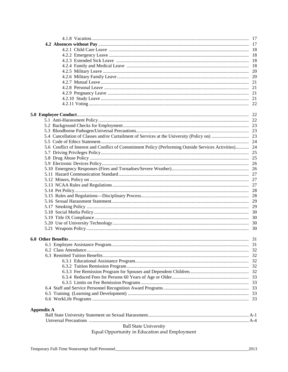|                                               | 5.6 Conflict of Interest and Conflict of Commitment Policy (Performing Outside Services Activities) 24 |  |  |
|-----------------------------------------------|--------------------------------------------------------------------------------------------------------|--|--|
|                                               |                                                                                                        |  |  |
|                                               |                                                                                                        |  |  |
|                                               |                                                                                                        |  |  |
|                                               |                                                                                                        |  |  |
|                                               |                                                                                                        |  |  |
|                                               |                                                                                                        |  |  |
|                                               |                                                                                                        |  |  |
|                                               |                                                                                                        |  |  |
|                                               |                                                                                                        |  |  |
|                                               |                                                                                                        |  |  |
|                                               |                                                                                                        |  |  |
|                                               |                                                                                                        |  |  |
|                                               |                                                                                                        |  |  |
|                                               |                                                                                                        |  |  |
|                                               |                                                                                                        |  |  |
|                                               |                                                                                                        |  |  |
|                                               |                                                                                                        |  |  |
|                                               |                                                                                                        |  |  |
|                                               |                                                                                                        |  |  |
|                                               |                                                                                                        |  |  |
|                                               |                                                                                                        |  |  |
|                                               |                                                                                                        |  |  |
|                                               |                                                                                                        |  |  |
|                                               |                                                                                                        |  |  |
|                                               |                                                                                                        |  |  |
|                                               |                                                                                                        |  |  |
|                                               |                                                                                                        |  |  |
| <b>Appendix A</b>                             |                                                                                                        |  |  |
|                                               |                                                                                                        |  |  |
|                                               |                                                                                                        |  |  |
|                                               | <b>Ball State University</b>                                                                           |  |  |
|                                               |                                                                                                        |  |  |
| Equal Opportunity in Education and Employment |                                                                                                        |  |  |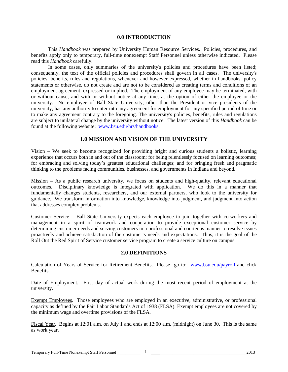# **0.0 INTRODUCTION**

This *Handbook* was prepared by University Human Resource Services. Policies, procedures, and benefits apply only to temporary, full-time nonexempt Staff Personnel unless otherwise indicated. Please read this *Handbook* carefully.

In some cases, only summaries of the university's policies and procedures have been listed; consequently, the text of the official policies and procedures shall govern in all cases. The university's policies, benefits, rules and regulations, whenever and however expressed, whether in handbooks, policy statements or otherwise, do not create and are not to be considered as creating terms and conditions of an employment agreement, expressed or implied. The employment of any employee may be terminated, with or without cause, and with or without notice at any time, at the option of either the employee or the university. No employee of Ball State University, other than the President or vice presidents of the university, has any authority to enter into any agreement for employment for any specified period of time or to make any agreement contrary to the foregoing. The university's policies, benefits, rules and regulations are subject to unilateral change by the university without notice. The latest version of this *Handbook* can be found at the following website: [www.bsu.edu/hrs/handbooks.](http://www.bsu.edu/hrs/handbooks)

# **1.0 MISSION AND VISION OF THE UNIVERSITY**

Vision – We seek to become recognized for providing bright and curious students a holistic, learning experience that occurs both in and out of the classroom; for being relentlessly focused on learning outcomes; for embracing and solving today's greatest educational challenges; and for bringing fresh and pragmatic thinking to the problems facing communities, businesses, and governments in Indiana and beyond.

Mission – As a public research university, we focus on students and high-quality, relevant educational outcomes. Disciplinary knowledge is integrated with application. We do this in a manner that fundamentally changes students, researchers, and our external partners, who look to the university for guidance. We transform information into knowledge, knowledge into judgment, and judgment into action that addresses complex problems.

Customer Service – Ball State University expects each employee to join together with co-workers and management in a spirit of teamwork and cooperation to provide exceptional customer service by determining customer needs and serving customers in a professional and courteous manner to resolve issues proactively and achieve satisfaction of the customer's needs and expectations. Thus, it is the goal of the Roll Out the Red Spirit of Service customer service program to create a service culture on campus.

# **2.0 DEFINITIONS**

Calculation of Years of Service for Retirement Benefits. Please go to: [www.bsu.edu/payroll](http://www.bsu.edu/payroll) and click Benefits.

Date of Employment. First day of actual work during the most recent period of employment at the university.

Exempt Employees. Those employees who are employed in an executive, administrative, or professional capacity as defined by the Fair Labor Standards Act of 1938 (FLSA). Exempt employees are not covered by the minimum wage and overtime provisions of the FLSA.

Fiscal Year. Begins at 12:01 a.m. on July 1 and ends at 12:00 a.m. (midnight) on June 30. This is the same as work year.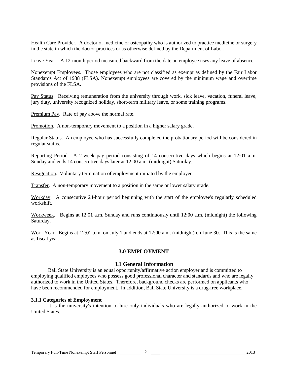Health Care Provider. A doctor of medicine or osteopathy who is authorized to practice medicine or surgery in the state in which the doctor practices or as otherwise defined by the Department of Labor.

Leave Year. A 12-month period measured backward from the date an employee uses any leave of absence.

Nonexempt Employees. Those employees who are not classified as exempt as defined by the Fair Labor Standards Act of 1938 (FLSA). Nonexempt employees are covered by the minimum wage and overtime provisions of the FLSA.

Pay Status. Receiving remuneration from the university through work, sick leave, vacation, funeral leave, jury duty, university recognized holiday, short-term military leave, or some training programs.

Premium Pay. Rate of pay above the normal rate.

Promotion. A non-temporary movement to a position in a higher salary grade.

Regular Status. An employee who has successfully completed the probationary period will be considered in regular status.

Reporting Period. A 2-week pay period consisting of 14 consecutive days which begins at 12:01 a.m. Sunday and ends 14 consecutive days later at 12:00 a.m. (midnight) Saturday.

Resignation. Voluntary termination of employment initiated by the employee.

Transfer. A non-temporary movement to a position in the same or lower salary grade.

Workday. A consecutive 24-hour period beginning with the start of the employee's regularly scheduled workshift.

Workweek. Begins at 12:01 a.m. Sunday and runs continuously until 12:00 a.m. (midnight) the following Saturday.

Work Year. Begins at 12:01 a.m. on July 1 and ends at 12:00 a.m. (midnight) on June 30. This is the same as fiscal year.

# **3.0 EMPLOYMENT**

# **3.1 General Information**

Ball State University is an equal opportunity/affirmative action employer and is committed to employing qualified employees who possess good professional character and standards and who are legally authorized to work in the United States. Therefore, background checks are performed on applicants who have been recommended for employment. In addition, Ball State University is a drug-free workplace.

# **3.1.1 Categories of Employment**

It is the university's intention to hire only individuals who are legally authorized to work in the United States.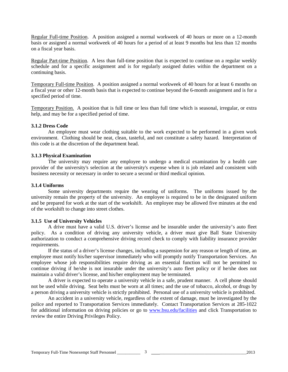Regular Full-time Position. A position assigned a normal workweek of 40 hours or more on a 12-month basis or assigned a normal workweek of 40 hours for a period of at least 9 months but less than 12 months on a fiscal year basis.

Regular Part-time Position. A less than full-time position that is expected to continue on a regular weekly schedule and for a specific assignment and is for regularly assigned duties within the department on a continuing basis.

Temporary Full-time Position. A position assigned a normal workweek of 40 hours for at least 6 months on a fiscal year or other 12-month basis that is expected to continue beyond the 6-month assignment and is for a specified period of time.

Temporary Position. A position that is full time or less than full time which is seasonal, irregular, or extra help, and may be for a specified period of time.

#### **3.1.2 Dress Code**

An employee must wear clothing suitable to the work expected to be performed in a given work environment. Clothing should be neat, clean, tasteful, and not constitute a safety hazard. Interpretation of this code is at the discretion of the department head.

#### **3.1.3 Physical Examination**

The university may require any employee to undergo a medical examination by a health care provider of the university's selection at the university's expense when it is job related and consistent with business necessity or necessary in order to secure a second or third medical opinion.

#### **3.1.4 Uniforms**

Some university departments require the wearing of uniforms. The uniforms issued by the university remain the property of the university. An employee is required to be in the designated uniform and be prepared for work at the start of the workshift. An employee may be allowed five minutes at the end of the workshift to change into street clothes.

# **3.1.5 Use of University Vehicles**

A drive must have a valid U.S. driver's license and be insurable under the university's auto fleet policy. As a condition of driving any university vehicle, a driver must give Ball State University authorization to conduct a comprehensive driving record check to comply with liability insurance provider requirements.

If the status of a driver's license changes, including a suspension for any reason or length of time, an employee must notify his/her supervisor immediately who will promptly notify Transportation Services. An employee whose job responsibilities require driving as an essential function will not be permitted to continue driving if he/she is not insurable under the university's auto fleet policy or if he/she does not maintain a valid driver's license, and his/her employment may be terminated.

A driver is expected to operate a university vehicle in a safe, prudent manner. A cell phone should not be used while driving. Seat belts must be worn at all times; and the use of tobacco, alcohol, or drugs by a person driving a university vehicle is strictly prohibited. Personal use of a university vehicle is prohibited.

An accident in a university vehicle, regardless of the extent of damage, must be investigated by the police and reported to Transportation Services immediately. Contact Transportation Services at 285-1022 for additional information on driving policies or go to [www.bsu.edu/facilities](http://www.bsu.edu/facilities) and click Transportation to review the entire Driving Privileges Policy.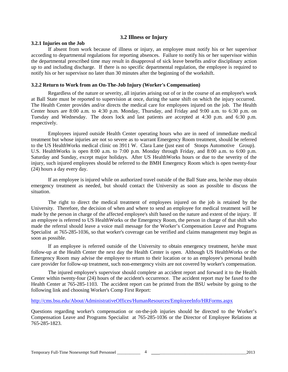# **3.2 Illness or Injury**

#### **3.2.1 Injuries on the Job**

If absent from work because of illness or injury, an employee must notify his or her supervisor according to departmental regulations for reporting absences. Failure to notify his or her supervisor within the departmental prescribed time may result in disapproval of sick leave benefits and/or disciplinary action up to and including discharge. If there is no specific departmental regulation, the employee is required to notify his or her supervisor no later than 30 minutes after the beginning of the workshift.

#### **3.2.2 Return to Work from an On-The-Job Injury (Worker's Compensation)**

Regardless of the nature or severity, all injuries arising out of or in the course of an employee's work at Ball State must be reported to supervision at once, during the same shift on which the injury occurred. The Health Center provides and/or directs the medical care for employees injured on the job. The Health Center hours are 8:00 a.m. to 4:30 p.m. Monday, Thursday, and Friday and 9:00 a.m. to 6:30 p.m. on Tuesday and Wednesday. The doors lock and last patients are accepted at 4:30 p.m. and 6:30 p.m. respectively.

Employees injured outside Health Center operating hours who are in need of immediate medical treatment but whose injuries are not so severe as to warrant Emergency Room treatment, should be referred to the US HealthWorks medical clinic on 3911 W. Clara Lane (just east of Stoops Automotive Group). U.S. HealthWorks is open 8:00 a.m. to 7:00 p.m. Monday through Friday, and 8:00 a.m. to 6:00 p.m. Saturday and Sunday, except major holidays. After US HealthWorks hours or due to the severity of the injury, such injured employees should be referred to the BMH Emergency Room which is open twenty-four (24) hours a day every day.

If an employee is injured while on authorized travel outside of the Ball State area, he/she may obtain emergency treatment as needed, but should contact the University as soon as possible to discuss the situation.

The right to direct the medical treatment of employees injured on the job is retained by the University. Therefore, the decision of when and where to send an employee for medical treatment will be made by the person in charge of the affected employee's shift based on the nature and extent of the injury. If an employee is referred to US HealthWorks or the Emergency Room, the person in charge of that shift who made the referral should leave a voice mail message for the Worker's Compensation Leave and Programs Specialist at 765-285-1036, so that worker's coverage can be verified and claims management may begin as soon as possible.

If an employee is referred outside of the University to obtain emergency treatment, he/she must follow-up at the Health Center the next day the Health Center is open. Although US HealthWorks or the Emergency Room may advise the employee to return to their location or to an employee's personal health care provider for follow-up treatment, such non-emergency visits are not covered by worker's compensation.

The injured employee's supervisor should complete an accident report and forward it to the Health Center within twenty-four (24) hours of the accident's occurrence. The accident report may be faxed to the Health Center at 765-285-1103. The accident report can be printed from the BSU website by going to the following link and choosing Worker's Comp First Report:

<http://cms.bsu.edu/About/AdministrativeOffices/HumanResources/EmployeeInfo/HRForms.aspx>

Questions regarding worker's compensation or on-the-job injuries should be directed to the Worker's Compensation Leave and Programs Specialist at 765-285-1036 or the Director of Employee Relations at 765-285-1823.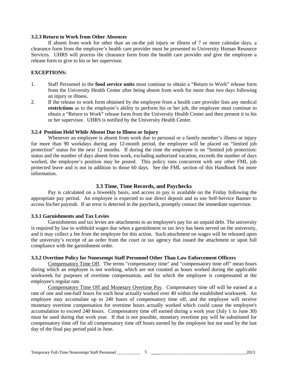#### **3.2.3 Return to Work from Other Absences**

If absent from work for other than an on-the job injury or illness of 7 or more calendar days, a clearance form from the employee's health care provider must be presented to University Human Resource Services. UHRS will process the clearance form from the health care provider and give the employee a release form to give to his or her supervisor.

# **EXCEPTIONS:**

- 1. Staff Personnel in the **food service units** must continue to obtain a "Return to Work" release form from the University Health Center after being absent from work for more than two days following an injury or illness.
- 2. If the release to work form obtained by the employee from a health care provider lists any medical **restrictions** as to the employee's ability to perform his or her job, the employee must continue to obtain a "Return to Work" release form from the University Health Center and then present it to his or her supervisor. UHRS is notified by the University Health Center.

# **3.2.4 Position Held While Absent Due to Illness or Injury**

Whenever an employee is absent from work due to personal or a family member's illness or injury for more than 90 workdays during any 12-month period, the employee will be placed on "limited job protection" status for the next 12 months. If during the time the employee is on "limited job protection: status and the number of days absent from work, excluding authorized vacation, exceeds the number of days worked, the employee's position may be posted. This policy runs concurrent with any other FML job protected leave and is not in addition to those 60 days. See the FML section of this Handbook for more information.

# **3.3 Time, Time Records, and Paychecks**

Pay is calculated on a biweekly basis, and access to pay is available on the Friday following the appropriate pay period. An employee is expected to use direct deposit and to use Self-Service Banner to access his/her paystub. If an error is detected in the paycheck, promptly contact the immediate supervisor.

# **3.3.1 Garnishments and Tax Levies**

Garnishments and tax levies are attachments to an employee's pay for an unpaid debt. The university is required by law to withhold wages due when a garnishment or tax levy has been served on the university, and it may collect a fee from the employee for this action. Such attachment on wages will be released upon the university's receipt of an order from the court or tax agency that issued the attachment or upon full compliance with the garnishment order.

# **3.3.2 Overtime Policy for Nonexempt Staff Personnel Other Than Law Enforcement Officers**

Compensatory Time Off. The terms "compensatory time" and "compensatory time off" mean hours during which an employee is not working, which are not counted as hours worked during the applicable workweek for purposes of overtime compensation, and for which the employee is compensated at the employee's regular rate.

Compensatory Time Off and Monetary Overtime Pay. Compensatory time off will be earned at a rate of one and one-half hours for each hour actually worked over 40 within the established workweek. An employee may accumulate up to 240 hours of compensatory time off, and the employee will receive monetary overtime compensation for overtime hours actually worked which could cause the employee's accumulation to exceed 240 hours. Compensatory time off earned during a work year (July 1 to June 30) must be used during that work year. If that is not possible, monetary overtime pay will be substituted for compensatory time off for all compensatory time off hours earned by the employee but not used by the last day of the final pay period paid in June.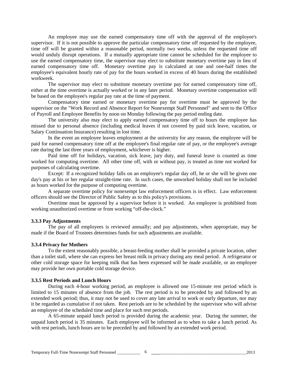An employee may use the earned compensatory time off with the approval of the employee's supervisor. If it is not possible to approve the particular compensatory time off requested by the employee, time off will be granted within a reasonable period, normally two weeks, unless the requested time off would unduly disrupt operations. If a mutually appropriate time cannot be scheduled for the employee to use the earned compensatory time, the supervisor may elect to substitute monetary overtime pay in lieu of earned compensatory time off. Monetary overtime pay is calculated at one and one-half times the employee's equivalent hourly rate of pay for the hours worked in excess of 40 hours during the established workweek.

The supervisor may elect to substitute monetary overtime pay for earned compensatory time off, either at the time overtime is actually worked or in any later period. Monetary overtime compensation will be based on the employee's regular pay rate at the time of payment.

Compensatory time earned or monetary overtime pay for overtime must be approved by the supervisor on the "Work Record and Absence Report for Nonexempt Staff Personnel" and sent to the Office of Payroll and Employee Benefits by noon on Monday following the pay period ending date.

The university also may elect to apply earned compensatory time off to hours the employee has missed due to personal absence (including medical leaves if not covered by paid sick leave, vacation, or Salary Continuation Insurance) resulting in lost time.

In the event an employee leaves employment at the university for any reason, the employee will be paid for earned compensatory time off at the employee's final regular rate of pay, or the employee's average rate during the last three years of employment, whichever is higher.

Paid time off for holidays, vacation, sick leave, jury duty, and funeral leave is counted as time worked for computing overtime. All other time off, with or without pay, is treated as time not worked for purposes of calculating overtime.

Except: If a recognized holiday falls on an employee's regular day off, he or she will be given one day's pay at his or her regular straight-time rate. In such cases, the unworked holiday shall not be included as hours worked for the purpose of computing overtime.

A separate overtime policy for nonexempt law enforcement officers is in effect. Law enforcement officers should see the Director of Public Safety as to this policy's provisions.

Overtime must be approved by a supervisor before it is worked. An employee is prohibited from working unauthorized overtime or from working "off-the-clock."

# **3.3.3 Pay Adjustments**

The pay of all employees is reviewed annually; and pay adjustments, when appropriate, may be made if the Board of Trustees determines funds for such adjustments are available.

#### **3.3.4 Privacy for Mothers**

To the extent reasonably possible, a breast-feeding mother shall be provided a private location, other than a toilet stall, where she can express her breast milk in privacy during any meal period. A refrigerator or other cold storage space for keeping milk that has been expressed will be made available, or an employee may provide her own portable cold storage device.

#### **3.3.5 Rest Periods and Lunch Hours**

During each 4-hour working period, an employee is allowed one 15-minute rest period which is limited to 15 minutes of absence from the job. The rest period is to be preceded by and followed by an extended work period; thus, it may not be used to cover any late arrival to work or early departure, nor may it be regarded as cumulative if not taken. Rest periods are to be scheduled by the supervisor who will advise an employee of the scheduled time and place for such rest periods.

A 65-minute unpaid lunch period is provided during the academic year. During the summer, the unpaid lunch period is 35 minutes. Each employee will be informed as to when to take a lunch period. As with rest periods, lunch hours are to be preceded by and followed by an extended work period.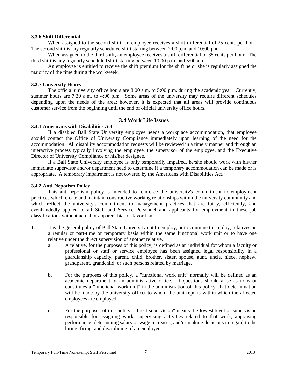#### **3.3.6 Shift Differential**

When assigned to the second shift, an employee receives a shift differential of 25 cents per hour. The second shift is any regularly scheduled shift starting between 2:00 p.m. and 10:00 p.m.

When assigned to the third shift, an employee receives a shift differential of 35 cents per hour. The third shift is any regularly scheduled shift starting between 10:00 p.m. and 5:00 a.m.

An employee is entitled to receive the shift premium for the shift he or she is regularly assigned the majority of the time during the workweek.

# **3.3.7 University Hours**

The official university office hours are 8:00 a.m. to 5:00 p.m. during the academic year. Currently, summer hours are 7:30 a.m. to 4:00 p.m. Some areas of the university may require different schedules depending upon the needs of the area; however, it is expected that all areas will provide continuous customer service from the beginning until the end of official university office hours.

# **3.4 Work Life Issues**

# **3.4.1 Americans with Disabilities Act**

If a disabled Ball State University employee needs a workplace accommodation, that employee should contact the Office of University Compliance immediately upon learning of the need for the accommodation. All disability accommodation requests will be reviewed in a timely manner and through an interactive process typically involving the employee, the supervisor of the employee, and the Executive Director of University Compliance or his/her designee.

If a Ball State University employee is only temporarily impaired, he/she should work with his/her immediate supervisor and/or department head to determine if a temporary accommodation can be made or is appropriate. A temporary impairment is not covered by the Americans with Disabilities Act.

# **3.4.2 Anti-Nepotism Policy**

This anti-nepotism policy is intended to reinforce the university's commitment to employment practices which create and maintain constructive working relationships within the university community and which reflect the university's commitment to management practices that are fairly, efficiently, and evenhandedly applied to all Staff and Service Personnel and applicants for employment in these job classifications without actual or apparent bias or favoritism.

- 1. It is the general policy of Ball State University not to employ, or to continue to employ, relatives on a regular or part-time or temporary basis within the same functional work unit or to have one relative under the direct supervision of another relative.
	- a. A relative, for the purposes of this policy, is defined as an individual for whom a faculty or professional or staff or service employee has been assigned legal responsibility in a guardianship capacity, parent, child, brother, sister, spouse, aunt, uncle, niece, nephew, grandparent, grandchild, or such persons related by marriage.
	- b. For the purposes of this policy, a "functional work unit" normally will be defined as an academic department or an administrative office. If questions should arise as to what constitutes a "functional work unit" in the administration of this policy, that determination will be made by the university officer to whom the unit reports within which the affected employees are employed.
	- c. For the purposes of this policy, "direct supervision" means the lowest level of supervision responsible for assigning work, supervising activities related to that work, appraising performance, determining salary or wage increases, and/or making decisions in regard to the hiring, firing, and disciplining of an employee.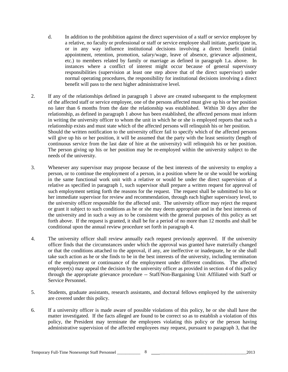- d. In addition to the prohibition against the direct supervision of a staff or service employee by a relative, no faculty or professional or staff or service employee shall initiate, participate in, or in any way influence institutional decisions involving a direct benefit (initial appointment, retention, promotion, salary/wage, leave of absence, grievance adjustment, etc.) to members related by family or marriage as defined in paragraph 1.a. above. In instances where a conflict of interest might occur because of general supervisory responsibilities (supervision at least one step above that of the direct supervisor) under normal operating procedures, the responsibility for institutional decisions involving a direct benefit will pass to the next higher administrative level.
- 2. If any of the relationships defined in paragraph 1 above are created subsequent to the employment of the affected staff or service employee, one of the persons affected must give up his or her position no later than 6 months from the date the relationship was established. Within 30 days after the relationship, as defined in paragraph 1 above has been established, the affected persons must inform in writing the university officer to whom the unit in which he or she is employed reports that such a relationship exists and must state which of the affected persons will relinquish his or her position. Should the written notification to the university officer fail to specify which of the affected persons will give up his or her position, it will be assumed that the party with the least seniority (length of continuous service from the last date of hire at the university) will relinquish his or her position. The person giving up his or her position may be re-employed within the university subject to the needs of the university.
- 3. Whenever any supervisor may propose because of the best interests of the university to employ a person, or to continue the employment of a person, in a position where he or she would be working in the same functional work unit with a relative or would be under the direct supervision of a relative as specified in paragraph 1, such supervisor shall prepare a written request for approval of such employment setting forth the reasons for the request. The request shall be submitted to his or her immediate supervisor for review and recommendation, through each higher supervisory level, to the university officer responsible for the affected unit. The university officer may reject the request or grant it subject to such conditions as he or she may deem appropriate and in the best interests of the university and in such a way as to be consistent with the general purposes of this policy as set forth above. If the request is granted, it shall be for a period of no more than 12 months and shall be conditional upon the annual review procedure set forth in paragraph 4.
- 4. The university officer shall review annually each request previously approved. If the university officer finds that the circumstances under which the approval was granted have materially changed or that the conditions attached to the approval, if any, are ineffective or inadequate, he or she shall take such action as he or she finds to be in the best interests of the university, including termination of the employment or continuance of the employment under different conditions. The affected employee(s) may appeal the decision by the university officer as provided in section 4 of this policy through the appropriate grievance procedure -- Staff/Non-Bargaining Unit Affiliated with Staff or Service Personnel.
- 5. Students, graduate assistants, research assistants, and doctoral fellows employed by the university are covered under this policy.
- 6. If a university officer is made aware of possible violations of this policy, he or she shall have the matter investigated. If the facts alleged are found to be correct so as to establish a violation of this policy, the President may terminate the employees violating this policy or the person having administrative supervision of the affected employees may request, pursuant to paragraph 3, that the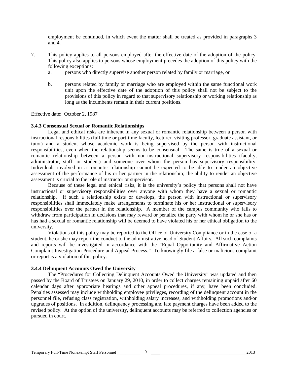employment be continued, in which event the matter shall be treated as provided in paragraphs 3 and 4.

- 7. This policy applies to all persons employed after the effective date of the adoption of the policy. This policy also applies to persons whose employment precedes the adoption of this policy with the following exceptions:
	- a. persons who directly supervise another person related by family or marriage, or
	- b. persons related by family or marriage who are employed within the same functional work unit upon the effective date of the adoption of this policy shall not be subject to the provisions of this policy in regard to that supervisory relationship or working relationship as long as the incumbents remain in their current positions.

Effective date: October 2, 1987

#### **3.4.3 Consensual Sexual or Romantic Relationships**

Legal and ethical risks are inherent in any sexual or romantic relationship between a person with instructional responsibilities (full-time or part-time faculty, lecturer, visiting professor, graduate assistant, or tutor) and a student whose academic work is being supervised by the person with instructional responsibilities, even when the relationship seems to be consensual. The same is true of a sexual or romantic relationship between a person with non-instructional supervisory responsibilities (faculty, administrator, staff, or student) and someone over whom the person has supervisory responsibility. Individuals involved in a romantic relationship cannot be expected to be able to render an objective assessment of the performance of his or her partner in the relationship; the ability to render an objective assessment is crucial to the role of instructor or supervisor.

Because of these legal and ethical risks, it is the university's policy that persons shall not have instructional or supervisory responsibilities over anyone with whom they have a sexual or romantic relationship. If such a relationship exists or develops, the person with instructional or supervisory responsibilities shall immediately make arrangements to terminate his or her instructional or supervisory responsibilities over the partner in the relationship. A member of the campus community who fails to withdraw from participation in decisions that may reward or penalize the party with whom he or she has or has had a sexual or romantic relationship will be deemed to have violated his or her ethical obligation to the university.

Violations of this policy may be reported to the Office of University Compliance or in the case of a student, he or she may report the conduct to the administrative head of Student Affairs. All such complaints and reports will be investigated in accordance with the "Equal Opportunity and Affirmative Action Complaint Investigation Procedure and Appeal Process." To knowingly file a false or malicious complaint or report is a violation of this policy.

# **3.4.4 Delinquent Accounts Owed the University**

The "Procedures for Collecting Delinquent Accounts Owed the University" was updated and then passed by the Board of Trustees on January 29, 2010, in order to collect charges remaining unpaid after 60 calendar days after appropriate hearings and other appeal procedures, if any, have been concluded. Penalties assessed may include withholding employee privileges, recording of the delinquent account in the personnel file, refusing class registration, withholding salary increases, and withholding promotions and/or upgrades of positions. In addition, delinquency processing and late payment charges have been added to the revised policy. At the option of the university, delinquent accounts may be referred to collection agencies or pursued in court.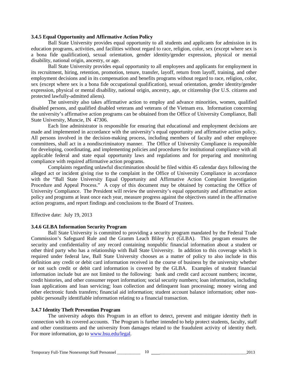#### **3.4.5 Equal Opportunity and Affirmative Action Policy**

Ball State University provides equal opportunity to all students and applicants for admission in its education programs, activities, and facilities without regard to race, religion, color, sex (except where sex is a bona fide qualification), sexual orientation, gender identity/gender expression, physical or mental disability, national origin, ancestry, or age.

Ball State University provides equal opportunity to all employees and applicants for employment in its recruitment, hiring, retention, promotion, tenure, transfer, layoff, return from layoff, training, and other employment decisions and in its compensation and benefits programs without regard to race, religion, color, sex (except where sex is a bona fide occupational qualification), sexual orientation, gender identity/gender expression, physical or mental disability, national origin, ancestry, age, or citizenship (for U.S. citizens and protected lawfully-admitted aliens).

The university also takes affirmative action to employ and advance minorities, women, qualified disabled persons, and qualified disabled veterans and veterans of the Vietnam era. Information concerning the university's affirmative action programs can be obtained from the Office of University Compliance, Ball State University, Muncie, IN 47306.

Each line administrator is responsible for ensuring that educational and employment decisions are made and implemented in accordance with the university's equal opportunity and affirmative action policy. All persons involved in the decision-making process, including members of faculty and other employee committees, shall act in a nondiscriminatory manner. The Office of University Compliance is responsible for developing, coordinating, and implementing policies and procedures for institutional compliance with all applicable federal and state equal opportunity laws and regulations and for preparing and monitoring compliance with required affirmative action programs.

Complaints regarding unlawful discrimination should be filed within 45 calendar days following the alleged act or incident giving rise to the complaint in the Office of University Compliance in accordance with the "Ball State University Equal Opportunity and Affirmative Action Complaint Investigation Procedure and Appeal Process." A copy of this document may be obtained by contacting the Office of University Compliance. The President will review the university's equal opportunity and affirmative action policy and programs at least once each year, measure progress against the objectives stated in the affirmative action programs, and report findings and conclusions to the Board of Trustees.

Effective date: July 19, 2013

#### **3.4.6 GLBA Information Security Program**

Ball State University is committed to providing a security program mandated by the Federal Trade Commission's Safeguard Rule and the Gramm Leach Bliley Act (GLBA). This program ensures the security and confidentiality of any record containing nonpublic financial information about a student or other third party who has a relationship with Ball State University. In addition to this coverage which is required under federal law, Ball State University chooses as a matter of policy to also include in this definition any credit or debit card information received in the course of business by the university whether or not such credit or debit card information is covered by the GLBA. Examples of student financial information include but are not limited to the following: bank and credit card account numbers; income, credit histories, and other consumer report information; social security numbers; loan information, including loan applications and loan servicing; loan collection and delinquent loan processing; money wiring and other electronic funds transfers; financial aid information; student account balance information; other nonpublic personally identifiable information relating to a financial transaction.

#### **3.4.7 Identity Theft Prevention Program**

The university adopts this Program in an effort to detect, prevent and mitigate identity theft in connection with its covered accounts. The Program is further intended to help protect students, faculty, staff and other constituents and the university from damages related to the fraudulent activity of identity theft. For more information, go to [www.bsu.edu/legal.](http://www.bsu.edu/legal)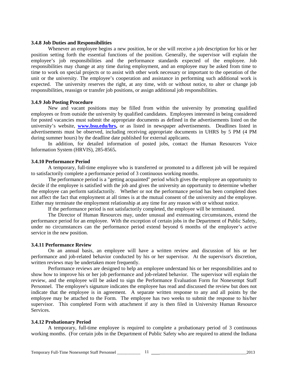#### **3.4.8 Job Duties and Responsibilities**

Whenever an employee begins a new position, he or she will receive a job description for his or her position setting forth the essential functions of the position. Generally, the supervisor will explain the employee's job responsibilities and the performance standards expected of the employee. Job responsibilities may change at any time during employment, and an employee may be asked from time to time to work on special projects or to assist with other work necessary or important to the operation of the unit or the university. The employee's cooperation and assistance in performing such additional work is expected. The university reserves the right, at any time, with or without notice, to alter or change job responsibilities, reassign or transfer job positions, or assign additional job responsibilities.

#### **3.4.9 Job Posting Procedure**

New and vacant positions may be filled from within the university by promoting qualified employees or from outside the university by qualified candidates. Employees interested in being considered for posted vacancies must submit the appropriate documents as defined in the advertisements listed on the university's website, **www.bsu.edu/hrs**, or as listed in newspaper advertisements. Deadlines listed in advertisements must be observed, including receiving appropriate documents in UHRS by 5 PM (4 PM during summer hours) by the deadline date published for external applicants.

In addition, for detailed information of posted jobs, contact the Human Resources Voice Information System (HRVIS), 285-8565**.** 

#### **3.4.10 Performance Period**

A temporary, full-time employee who is transferred or promoted to a different job will be required to satisfactorily complete a performance period of 3 continuous working months.

The performance period is a "getting acquainted" period which gives the employee an opportunity to decide if the employee is satisfied with the job and gives the university an opportunity to determine whether the employee can perform satisfactorily. Whether or not the performance period has been completed does not affect the fact that employment at all times is at the mutual consent of the university and the employee. Either may terminate the employment relationship at any time for any reason with or without notice.

If the performance period is not satisfactorily completed, the employee will be terminated.

The Director of Human Resources may, under unusual and extenuating circumstances, extend the performance period for an employee. With the exception of certain jobs in the Department of Public Safety, under no circumstances can the performance period extend beyond 6 months of the employee's active service in the new position.

#### **3.4.11 Performance Review**

On an annual basis, an employee will have a written review and discussion of his or her performance and job-related behavior conducted by his or her supervisor. At the supervisor's discretion, written reviews may be undertaken more frequently.

Performance reviews are designed to help an employee understand his or her responsibilities and to show how to improve his or her job performance and job-related behavior. The supervisor will explain the review, and the employee will be asked to sign the Performance Evaluation Form for Nonexempt Staff Personnel. The employee's signature indicates the employee has read and discussed the review but does not indicate that the employee is in agreement. A separate written response to any and all points by the employee may be attached to the Form. The employee has two weeks to submit the response to his/her supervisor. This completed Form with attachment if any is then filed in University Human Resource Services.

#### **3.4.12 Probationary Period**

A temporary, full-time employee is required to complete a probationary period of 3 continuous working months. (For certain jobs in the Department of Public Safety who are required to attend the Indiana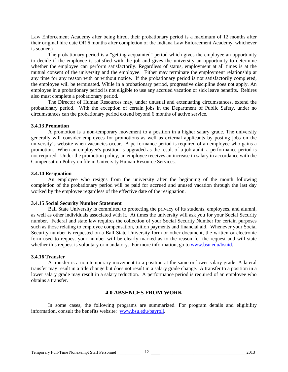Law Enforcement Academy after being hired, their probationary period is a maximum of 12 months after their original hire date OR 6 months after completion of the Indiana Law Enforcement Academy, whichever is sooner.)

The probationary period is a "getting acquainted" period which gives the employee an opportunity to decide if the employee is satisfied with the job and gives the university an opportunity to determine whether the employee can perform satisfactorily. Regardless of status, employment at all times is at the mutual consent of the university and the employee. Either may terminate the employment relationship at any time for any reason with or without notice. If the probationary period is not satisfactorily completed, the employee will be terminated. While in a probationary period, progressive discipline does not apply. An employee in a probationary period is not eligible to use any accrued vacation or sick leave benefits. Rehires also must complete a probationary period.

The Director of Human Resources may, under unusual and extenuating circumstances, extend the probationary period. With the exception of certain jobs in the Department of Public Safety, under no circumstances can the probationary period extend beyond 6 months of active service.

#### **3.4.13 Promotion**

A promotion is a non-temporary movement to a position in a higher salary grade. The university generally will consider employees for promotions as well as external applicants by posting jobs on the university's website when vacancies occur. A performance period is required of an employee who gains a promotion. When an employee's position is upgraded as the result of a job audit, a performance period is not required. Under the promotion policy, an employee receives an increase in salary in accordance with the Compensation Policy on file in University Human Resource Services.

#### **3.4.14 Resignation**

An employee who resigns from the university after the beginning of the month following completion of the probationary period will be paid for accrued and unused vacation through the last day worked by the employee regardless of the effective date of the resignation.

# **3.4.15 Social Security Number Statement**

Ball State University is committed to protecting the privacy of its students, employees, and alumni, as well as other individuals associated with it. At times the university will ask you for your Social Security number. Federal and state law requires the collection of your Social Security Number for certain purposes such as those relating to employee compensation, tuition payments and financial aid. Whenever your Social Security number is requested on a Ball State University form or other document, the written or electronic form used to request your number will be clearly marked as to the reason for the request and will state whether this request is voluntary or mandatory. For more information, go t[o www.bsu.edu/bsuid.](http://www.bsu.edu/bsuid)

# **3.4.16 Transfer**

A transfer is a non-temporary movement to a position at the same or lower salary grade. A lateral transfer may result in a title change but does not result in a salary grade change. A transfer to a position in a lower salary grade may result in a salary reduction. A performance period is required of an employee who obtains a transfer.

# **4.0 ABSENCES FROM WORK**

In some cases, the following programs are summarized. For program details and eligibility information, consult the benefits website: [www.bsu.edu/payroll.](http://www.bsu.edu/payroll)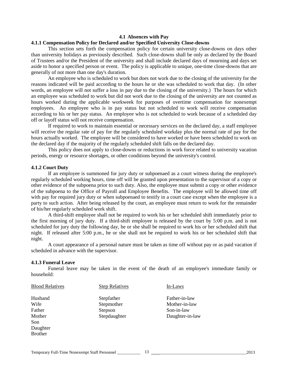#### **4.1 Absences with Pay**

#### **4.1.1 Compensation Policy for Declared and/or Specified University Close-downs**

This section sets forth the compensation policy for certain university close-downs on days other than university holidays as previously described. Such close-downs shall be only as declared by the Board of Trustees and/or the President of the university and shall include declared days of mourning and days set aside to honor a specified person or event. The policy is applicable to unique, one-time close-downs that are generally of not more than one day's duration.

An employee who is scheduled to work but does not work due to the closing of the university for the reasons indicated will be paid according to the hours he or she was scheduled to work that day. (In other words, an employee will not suffer a loss in pay due to the closing of the university.) The hours for which an employee was scheduled to work but did not work due to the closing of the university are not counted as hours worked during the applicable workweek for purposes of overtime compensation for nonexempt employees. An employee who is in pay status but not scheduled to work will receive compensation according to his or her pay status. An employee who is not scheduled to work because of a scheduled day off or layoff status will not receive compensation.

If required to work to maintain essential or necessary services on the declared day, a staff employee will receive the regular rate of pay for the regularly scheduled workday plus the normal rate of pay for the hours actually worked. The employee will be considered to have worked or have been scheduled to work on the declared day if the majority of the regularly scheduled shift falls on the declared day.

This policy does not apply to close-downs or reductions in work force related to university vacation periods, energy or resource shortages, or other conditions beyond the university's control.

#### **4.1.2 Court Duty**

If an employee is summoned for jury duty or subpoenaed as a court witness during the employee's regularly scheduled working hours, time off will be granted upon presentation to the supervisor of a copy or other evidence of the subpoena prior to such duty. Also, the employee must submit a copy or other evidence of the subpoena to the Office of Payroll and Employee Benefits. The employee will be allowed time off with pay for required jury duty or when subpoenaed to testify in a court case except when the employee is a party to such action. After being released by the court, an employee must return to work for the remainder of his/her regularly scheduled work shift.

A third-shift employee shall not be required to work his or her scheduled shift immediately prior to the first morning of jury duty. If a third-shift employee is released by the court by 5:00 p.m. and is not scheduled for jury duty the following day, he or she shall be required to work his or her scheduled shift that night. If released after 5:00 p.m., he or she shall not be required to work his or her scheduled shift that night.

A court appearance of a personal nature must be taken as time off without pay or as paid vacation if scheduled in advance with the supervisor.

#### **4.1.3 Funeral Leave**

Funeral leave may be taken in the event of the death of an employee's immediate family or household:

| <b>Blood Relatives</b> | <b>Step Relatives</b> | In-Laws         |
|------------------------|-----------------------|-----------------|
| Husband                | Stepfather            | Father-in-law   |
| Wife                   | Stepmother            | Mother-in-law   |
| Father                 | Stepson               | Son-in-law      |
| Mother                 | Stepdaughter          | Daughter-in-law |
| Son                    |                       |                 |
| Daughter               |                       |                 |
| <b>Brother</b>         |                       |                 |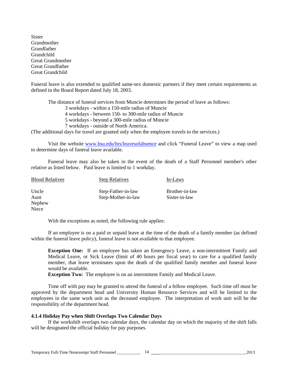**Sister Grandmother** Grandfather Grandchild Great Grandmother Great Grandfather Great Grandchild

Funeral leave is also extended to qualified same-sex domestic partners if they meet certain requirements as defined in the Board Report dated July 18, 2003.

The distance of funeral services from Muncie determines the period of leave as follows: 3 workdays - within a 150-mile radius of Muncie 4 workdays - between 150- to 300-mile radius of Muncie 5 workdays - beyond a 300-mile radius of Muncie 7 workdays - outside of North America.

(The additional days for travel are granted only when the employee travels to the services.)

Visit the website [www.bsu.edu/hrs/leavesofabsence](http://www.bsu.edu/hrs/leavesofabsence) and click "Funeral Leave" to view a map used to determine days of funeral leave available.

Funeral leave may also be taken in the event of the death of a Staff Personnel member's other relative as listed below. Paid leave is limited to 1 workday.

| <b>Blood Relatives</b> | <b>Step Relatives</b> | In-Laws        |
|------------------------|-----------------------|----------------|
| Uncle                  | Step-Father-in-law    | Brother-in-law |
| Aunt                   | Step-Mother-in-law    | Sister-in-law  |
| Nephew                 |                       |                |
| Niece                  |                       |                |

With the exceptions as noted, the following rule applies:

If an employee is on a paid or unpaid leave at the time of the death of a family member (as defined within the funeral leave policy), funeral leave is not available to that employee.

**Exception One:** If an employee has taken an Emergency Leave, a non-intermittent Family and Medical Leave, or Sick Leave (limit of 40 hours per fiscal year) to care for a qualified family member, that leave terminates upon the death of the qualified family member and funeral leave would be available.

**Exception Two:** The employee is on an intermittent Family and Medical Leave.

Time off with pay may be granted to attend the funeral of a fellow employee. Such time off must be approved by the department head and University Human Resource Services and will be limited to the employees in the same work unit as the deceased employee. The interpretation of work unit will be the responsibility of the department head.

#### **4.1.4 Holiday Pay when Shift Overlaps Two Calendar Days**

If the workshift overlaps two calendar days, the calendar day on which the majority of the shift falls will be designated the official holiday for pay purposes.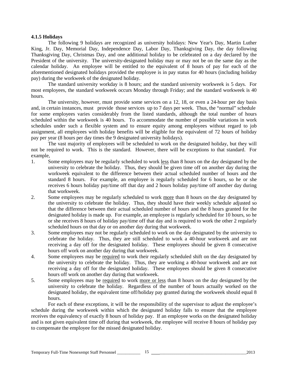#### **4.1.5 Holidays**

The following 9 holidays are recognized as university holidays: New Year's Day, Martin Luther King, Jr. Day, Memorial Day, Independence Day, Labor Day, Thanksgiving Day, the day following Thanksgiving Day, Christmas Day, and one additional holiday to be celebrated on a day declared by the President of the university. The university-designated holiday may or may not be on the same day as the calendar holiday. An employee will be entitled to the equivalent of 8 hours of pay for each of the aforementioned designated holidays provided the employee is in pay status for 40 hours (including holiday pay) during the workweek of the designated holiday.

The standard university workday is 8 hours; and the standard university workweek is 5 days. For most employees, the standard workweek occurs Monday through Friday; and the standard workweek is 40 hours.

The university, however, must provide some services on a 12, 18, or even a 24-hour per day basis and, in certain instances, must provide those services up to 7 days per week. Thus, the "normal" schedule for some employees varies considerably from the listed standards, although the total number of hours scheduled within the workweek is 40 hours. To accommodate the number of possible variations in work schedules under such a flexible system and to ensure equity among employees without regard to job assignment, all employees with holiday benefits will be eligible for the equivalent of 72 hours of holiday pay per year (8 hours per day times the 9 designated university holidays).

The vast majority of employees will be scheduled to work on the designated holiday, but they will not be required to work. This is the standard. However, there will be exceptions to that standard. For example,

- 1. Some employees may be regularly scheduled to work less than 8 hours on the day designated by the university to celebrate the holiday. Thus, they should be given time off on another day during the workweek equivalent to the difference between their actual scheduled number of hours and the standard 8 hours. For example, an employee is regularly scheduled for 6 hours, so he or she receives 6 hours holiday pay/time off that day and 2 hours holiday pay/time off another day during that workweek.
- 2. Some employees may be regularly scheduled to work more than 8 hours on the day designated by the university to celebrate the holiday. Thus, they should have their weekly schedule adjusted so that the difference between their actual scheduled number of hours and the 8 hours granted for the designated holiday is made up. For example, an employee is regularly scheduled for 10 hours, so he or she receives 8 hours of holiday pay/time off that day and is required to work the other 2 regularly scheduled hours on that day or on another day during that workweek.
- 3. Some employees may not be regularly scheduled to work on the day designated by the university to celebrate the holiday. Thus, they are still scheduled to work a 40-hour workweek and are not receiving a day off for the designated holiday. These employees should be given 8 consecutive hours off work on another day during that workweek.
- 4. Some employees may be required to work their regularly scheduled shift on the day designated by the university to celebrate the holiday. Thus, they are working a 40-hour workweek and are not receiving a day off for the designated holiday. These employees should be given 8 consecutive hours off work on another day during that workweek.
- 5. Some employees may be required to work more or less than 8 hours on the day designated by the university to celebrate the holiday. Regardless of the number of hours actually worked on the designated holiday, the equivalent time off/holiday pay granted during the workweek should equal 8 hours.

For each of these exceptions, it will be the responsibility of the supervisor to adjust the employee's schedule during the workweek within which the designated holiday falls to ensure that the employee receives the equivalency of exactly 8 hours of holiday pay. If an employee works on the designated holiday and is not given equivalent time off during that workweek, the employee will receive 8 hours of holiday pay to compensate the employee for the missed designated holiday.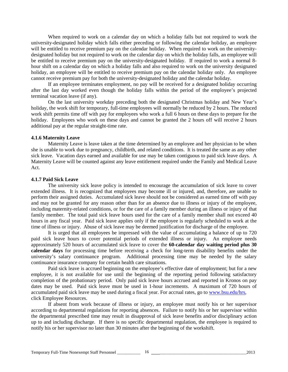When required to work on a calendar day on which a holiday falls but not required to work the university-designated holiday which falls either preceding or following the calendar holiday, an employee will be entitled to receive premium pay on the calendar holiday. When required to work on the universitydesignated holiday but not required to work on the calendar day on which the holiday falls, an employee will be entitled to receive premium pay on the university-designated holiday. If required to work a normal 8 hour shift on a calendar day on which a holiday falls and also required to work on the university designated holiday, an employee will be entitled to receive premium pay on the calendar holiday only. An employee cannot receive premium pay for both the university-designated holiday and the calendar holiday.

If an employee terminates employment, no pay will be received for a designated holiday occurring after the last day worked even though the holiday falls within the period of the employee's projected terminal vacation leave (if any).

On the last university workday preceding both the designated Christmas holiday and New Year's holiday, the work shift for temporary, full-time employees will normally be reduced by 2 hours. The reduced work shift permits time off with pay for employees who work a full 6 hours on these days to prepare for the holiday. Employees who work on these days and cannot be granted the 2 hours off will receive 2 hours additional pay at the regular straight-time rate.

#### **4.1.6 Maternity Leave**

Maternity Leave is leave taken at the time determined by an employee and her physician to be when she is unable to work due to pregnancy, childbirth, and related conditions. It is treated the same as any other sick leave. Vacation days earned and available for use may be taken contiguous to paid sick leave days. A Maternity Leave will be counted against any leave entitlement required under the Family and Medical Leave Act.

#### **4.1.7 Paid Sick Leave**

The university sick leave policy is intended to encourage the accumulation of sick leave to cover extended illness. It is recognized that employees may become ill or injured, and, therefore, are unable to perform their assigned duties. Accumulated sick leave should not be considered as earned time off with pay and may not be granted for any reason other than for an absence due to illness or injury of the employee, including maternity-related conditions, or for the care of a family member during an illness or injury of that family member. The total paid sick leave hours used for the care of a family member shall not exceed 40 hours in any fiscal year. Paid sick leave applies only if the employee is regularly scheduled to work at the time of illness or injury. Abuse of sick leave may be deemed justification for discharge of the employee.

It is urged that all employees be impressed with the value of accumulating a balance of up to 720 paid sick leave hours to cover potential periods of extended illness or injury. An employee needs approximately 520 hours of accumulated sick leave to cover the **60-calendar day waiting period plus 30 calendar days** for processing time before receiving a check for long-term disability benefits under the university's salary continuance program. Additional processing time may be needed by the salary continuance insurance company for certain health care situations.

Paid sick leave is accrued beginning on the employee's effective date of employment; but for a new employee, it is not available for use until the beginning of the reporting period following satisfactory completion of the probationary period. Only paid sick leave hours accrued and reported in Kronos on pay dates may be used. Paid sick leave must be used in 1-hour increments. A maximum of 720 hours of accumulated paid sick leave may be used during a fiscal year. For accrual rates, go to [www.bsu.edu/hrs,](http://www.bsu.edu/hrs) click Employee Resources.

If absent from work because of illness or injury, an employee must notify his or her supervisor according to departmental regulations for reporting absences. Failure to notify his or her supervisor within the departmental prescribed time may result in disapproval of sick leave benefits and/or disciplinary action up to and including discharge. If there is no specific departmental regulation, the employee is required to notify his or her supervisor no later than 30 minutes after the beginning of the workshift.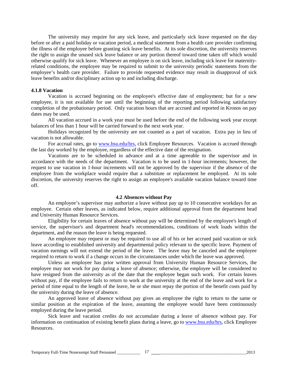The university may require for any sick leave, and particularly sick leave requested on the day before or after a paid holiday or vacation period, a medical statement from a health care provider confirming the illness of the employee before granting sick leave benefits. At its sole discretion, the university reserves the right to assign the unused sick leave balance or any portion thereof toward time taken off which would otherwise qualify for sick leave. Whenever an employee is on sick leave, including sick leave for maternityrelated conditions, the employee may be required to submit to the university periodic statements from the employee's health care provider. Failure to provide requested evidence may result in disapproval of sick leave benefits and/or disciplinary action up to and including discharge.

#### **4.1.8 Vacation**

Vacation is accrued beginning on the employee's effective date of employment; but for a new employee, it is not available for use until the beginning of the reporting period following satisfactory completion of the probationary period. Only vacation hours that are accrued and reported in Kronos on pay dates may be used.

All vacation accrued in a work year must be used before the end of the following work year except balances of less than 1 hour will be carried forward to the next work year.

Holidays recognized by the university are not counted as a part of vacation. Extra pay in lieu of vacation is not allowable.

For accrual rates, go to [www.bsu.edu/hrs,](http://www.bsu.edu/hrs) click Employee Resources. Vacation is accrued through the last day worked by the employee, regardless of the effective date of the resignation.

Vacations are to be scheduled in advance and at a time agreeable to the supervisor and in accordance with the needs of the department. Vacation is to be used in 1-hour increments; however, the request to use vacation in 1-hour increments will not be approved by the supervisor if the absence of the employee from the workplace would require that a substitute or replacement be employed. At its sole discretion, the university reserves the right to assign an employee's available vacation balance toward time off.

#### **4.2 Absences without Pay**

An employee's supervisor may authorize a leave without pay up to 10 consecutive workdays for an employee. Certain other leaves, as indicated below, require additional approval from the department head and University Human Resource Services.

Eligibility for certain leaves of absence without pay will be determined by the employee's length of service, the supervisor's and department head's recommendations, conditions of work loads within the department, and the reason the leave is being requested.

An employee may request or may be required to use all of his or her accrued paid vacation or sick leave according to established university and departmental policy relevant to the specific leave. Payment of vacation earnings will not extend the period of the leave. The leave may be canceled and the employee required to return to work if a change occurs in the circumstances under which the leave was approved.

Unless an employee has prior written approval from University Human Resource Services, the employee may not work for pay during a leave of absence; otherwise, the employee will be considered to have resigned from the university as of the date that the employee began such work. For certain leaves without pay, if the employee fails to return to work at the university at the end of the leave and work for a period of time equal to the length of the leave, he or she must repay the portion of the benefit costs paid by the university during the leave of absence.

An approved leave of absence without pay gives an employee the right to return to the same or similar position at the expiration of the leave, assuming the employee would have been continuously employed during the leave period.

Sick leave and vacation credits do not accumulate during a leave of absence without pay. For information on continuation of existing benefit plans during a leave, go to [www.bsu.edu/hrs,](http://www.bsu.edu/hrs) click Employee Resources.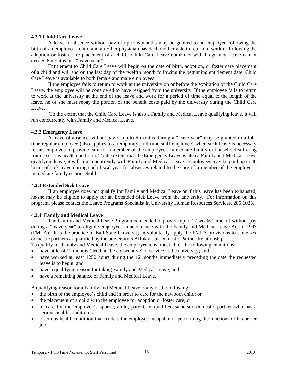#### **4.2.1 Child Care Leave**

A leave of absence without pay of up to 6 months may be granted to an employee following the birth of an employee's child and after her physician has declared her able to return to work or following the adoption or foster care placement of a child. Child Care Leave combined with Pregnancy Leave cannot exceed 6 months in a "leave year."

Entitlement to Child Care Leave will begin on the date of birth, adoption, or foster care placement of a child and will end on the last day of the twelfth month following the beginning entitlement date. Child Care Leave is available to both female and male employees.

If the employee fails to return to work at the university on or before the expiration of the Child Care Leave, the employee will be considered to have resigned from the university. If the employee fails to return to work at the university at the end of the leave and work for a period of time equal to the length of the leave, he or she must repay the portion of the benefit costs paid by the university during the Child Care Leave.

To the extent that the Child Care Leave is also a Family and Medical Leave qualifying leave, it will run concurrently with Family and Medical Leave.

# **4.2.2 Emergency Leave**

A leave of absence without pay of up to 6 months during a "leave year" may be granted to a fulltime regular employee (also applies to a temporary, full-time staff employee) when such leave is necessary for an employee to provide care for a member of the employee's immediate family or household suffering from a serious health condition. To the extent that the Emergency Leave is also a Family and Medical Leave qualifying leave, it will run concurrently with Family and Medical Leave. Employees may be paid up to 40 hours of sick leave during each fiscal year for absences related to the care of a member of the employee's immediate family or household.

# **4.2.3 Extended Sick Leave**

If an employee does not qualify for Family and Medical Leave or if this leave has been exhausted, he/she may be eligible to apply for an Extended Sick Leave from the university. For information on this program, please contact the Leave Programs Specialist in University Human Resources Services, 285.1036.

# **4.2.4 Family and Medical Leave**

The Family and Medical Leave Program is intended to provide up to 12 weeks' time off without pay during a "leave year" to eligible employees in accordance with the Family and Medical Leave Act of 1993 (FMLA). It is the practice of Ball State University to voluntarily apply the FMLA provisions to same-sex domestic partners as qualified by the university's Affidavit of Domestic Partner Relationship.

To qualify for Family and Medical Leave, the employee must meet all of the following conditions:

- have at least 12 months (need not be consecutive) of service at the university; and
- have worked at least 1250 hours during the 12 months immediately preceding the date the requested leave is to begin; and
- have a qualifying reason for taking Family and Medical Leave; and
- have a remaining balance of Family and Medical Leave.

A qualifying reason for a Family and Medical Leave is any of the following:

- the birth of the employee's child and in order to care for the newborn child; or
- the placement of a child with the employee for adoption or foster care; or
- to care for the employee's spouse, child, parent, or qualified same-sex domestic partner who has a serious health condition; or
- a serious health condition that renders the employee incapable of performing the functions of his or her job.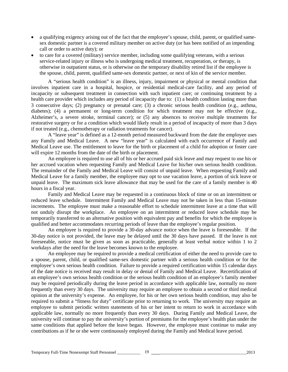- a qualifying exigency arising out of the fact that the employee's spouse, child, parent, or qualified samesex domestic partner is a covered military member on active duty (or has been notified of an impending call or order to active duty); or
- to care for a covered (military) service member, including some qualifying veterans, with a serious service-related injury or illness who is undergoing medical treatment, recuperation, or therapy, is otherwise in outpatient status, or is otherwise on the temporary disability retired list if the employee is the spouse, child, parent, qualified same-sex domestic partner, or next of kin of the service member.

A "serious health condition" is an illness, injury, impairment or physical or mental condition that involves inpatient care in a hospital, hospice, or residential medical-care facility, and any period of incapacity or subsequent treatment in connection with such inpatient care; or continuing treatment by a health care provider which includes any period of incapacity due to: (1) a health condition lasting more than 3 consecutive days; (2) pregnancy or prenatal care; (3) a chronic serious health condition (e.g., asthma, diabetes); (4) a permanent or long-term condition for which treatment may not be effective (e.g., Alzheimer's, a severe stroke, terminal cancer); or (5) any absences to receive multiple treatments for restorative surgery or for a condition which would likely result in a period of incapacity of more than 3 days if not treated (e.g., chemotherapy or radiation treatments for cancer).

A "leave year" is defined as a 12-month period measured backward from the date the employee uses any Family and Medical Leave. A new "leave year" is calculated with each occurrence of Family and Medical Leave use. The entitlement to leave for the birth or placement of a child for adoption or foster care will expire 12 months from the date of the birth or placement.

An employee is required to use all of his or her accrued paid sick leave and may request to use his or her accrued vacation when requesting Family and Medical Leave for his/her own serious health condition. The remainder of the Family and Medical Leave will consist of unpaid leave. When requesting Family and Medical Leave for a family member, the employee may opt to use vacation leave, a portion of sick leave or unpaid leave. The maximum sick leave allowance that may be used for the care of a family member is 40 hours in a fiscal year.

Family and Medical Leave may be requested in a continuous block of time or on an intermittent or reduced leave schedule. Intermittent Family and Medical Leave may not be taken in less than 15-minute increments. The employee must make a reasonable effort to schedule intermittent leave at a time that will not unduly disrupt the workplace. An employee on an intermittent or reduced leave schedule may be temporarily transferred to an alternative position with equivalent pay and benefits for which the employee is qualified and better accommodates recurring periods of leave than the employee's regular position.

An employee is required to provide a 30-day advance notice when the leave is foreseeable. If the 30-day notice is not provided, the leave may be delayed until the 30 days have passed. If the leave is not foreseeable, notice must be given as soon as practicable, generally at least verbal notice within 1 to 2 workdays after the need for the leave becomes known to the employee.

An employee may be required to provide a medical certification of either the need to provide care to a spouse, parent, child, or qualified same-sex domestic partner with a serious health condition or for the employee's own serious health condition. Failure to provide a required certification within 15 calendar days of the date notice is received may result in delay or denial of Family and Medical Leave. Recertification of an employee's own serious health condition or the serious health condition of an employee's family member may be required periodically during the leave period in accordance with applicable law, normally no more frequently than every 30 days. The university may require an employee to obtain a second or third medical opinion at the university's expense. An employee, for his or her own serious health condition, may also be required to submit a "fitness for duty" certificate prior to returning to work. The university may require an employee to submit periodic written statements of his or her intent to return to work in accordance with applicable law, normally no more frequently than every 30 days. During Family and Medical Leave, the university will continue to pay the university's portion of premiums for the employee's health plan under the same conditions that applied before the leave began. However, the employee must continue to make any contributions as if he or she were continuously employed during the Family and Medical leave period.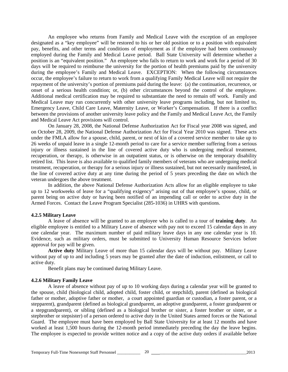An employee who returns from Family and Medical Leave with the exception of an employee designated as a "key employee" will be restored to his or her old position or to a position with equivalent pay, benefits, and other terms and conditions of employment as if the employee had been continuously employed during the Family and Medical Leave period. Ball State University will determine whether a position is an "equivalent position." An employee who fails to return to work and work for a period of 30 days will be required to reimburse the university for the portion of health premiums paid by the university during the employee's Family and Medical Leave. EXCEPTION: When the following circumstances occur, the employee's failure to return to work from a qualifying Family Medical Leave will not require the repayment of the university's portion of premiums paid during the leave: (a) the continuation, recurrence, or onset of a serious health condition; or, (b) other circumstances beyond the control of the employee. Additional medical certification may be required to substantiate the need to remain off work. Family and Medical Leave may run concurrently with other university leave programs including, but not limited to, Emergency Leave, Child Care Leave, Maternity Leave, or Worker's Compensation. If there is a conflict between the provisions of another university leave policy and the Family and Medical Leave Act, the Family and Medical Leave Act provisions will control.

On January 28, 2008, the National Defense Authorization Act for Fiscal year 2008 was signed, and on October 28, 2009, the National Defense Authorization Act for Fiscal Year 2010 was signed. These acts under the FMLA allow for a spouse, child, parent, or next of kin of a covered service member to take up to 26 weeks of unpaid leave in a single 12-month period to care for a service member suffering from a serious injury or illness sustained in the line of covered active duty who is undergoing medical treatment, recuperation, or therapy, is otherwise in an outpatient status, or is otherwise on the temporary disability retired list. This leave is also available to qualified family members of veterans who are undergoing medical treatment, recuperation, or therapy for a serious injury or illness sustained, but not necessarily manifested, in the line of covered active duty at any time during the period of 5 years preceding the date on which the veteran undergoes the above treatment.

In addition, the above National Defense Authorization Acts allow for an eligible employee to take up to 12 workweeks of leave for a "qualifying exigency" arising out of that employee's spouse, child, or parent being on active duty or having been notified of an impending call or order to active duty in the Armed Forces. Contact the Leave Program Specialist (285-1036) in UHRS with questions.

#### **4.2.5 Military Leave**

A leave of absence will be granted to an employee who is called to a tour of **training duty**. An eligible employee is entitled to a Military Leave of absence with pay not to exceed 15 calendar days in any one calendar year. The maximum number of paid military leave days in any one calendar year is 10. Evidence, such as military orders, must be submitted to University Human Resource Services before approval for pay will be given.

**Active duty** Military Leave of more than 15 calendar days will be without pay. Military Leave without pay of up to and including 5 years may be granted after the date of induction, enlistment, or call to active duty.

Benefit plans may be continued during Military Leave.

#### **4.2.6 Military Family Leave**

A leave of absence without pay of up to 10 working days during a calendar year will be granted to the spouse, child (biological child, adopted child, foster child, or stepchild), parent (defined as biological father or mother, adoptive father or mother, a court appointed guardian or custodian, a foster parent, or a stepparent), grandparent (defined as biological grandparent, an adoptive grandparent, a foster grandparent or a stepgrandparent), or sibling (defined as a biological brother or sister, a foster brother or sister, or a stepbrother or stepsister) of a person ordered to active duty in the United States armed forces or the National Guard. The employee must have been employed by Ball State University for at least 12 months and have worked at least 1,500 hours during the 12-month period immediately preceding the day the leave begins. The employee is expected to provide written notice and a copy of the active duty orders if available before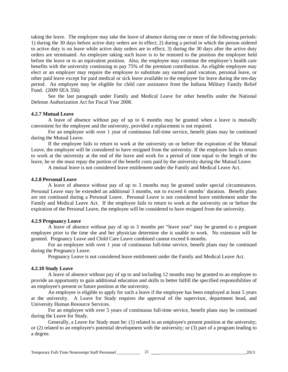taking the leave. The employee may take the leave of absence during one or more of the following periods: 1) during the 30 days before active duty orders are in effect; 2) during a period in which the person ordered to active duty is on leave while active duty orders are in effect; 3) during the 30 days after the active duty orders are terminated. An employee taking such leave is to be restored to the position the employee held before the leave or to an equivalent position. Also, the employee may continue the employee's health care benefits with the university continuing to pay 75% of the premium contribution. An eligible employee may elect or an employer may require the employee to substitute any earned paid vacation, personal leave, or other paid leave except for paid medical or sick leave available to the employee for leave during the ten-day period. An employee may be eligible for child care assistance from the Indiana Military Family Relief Fund. (2009 SEA 356)

See the last paragraph under Family and Medical Leave for other benefits under the National Defense Authorization Act for Fiscal Year 2008.

#### **4.2.7 Mutual Leave**

A leave of absence without pay of up to 6 months may be granted when a leave is mutually convenient for the employee and the university, provided a replacement is not required.

For an employee with over 1 year of continuous full-time service, benefit plans may be continued during the Mutual Leave.

If the employee fails to return to work at the university on or before the expiration of the Mutual Leave, the employee will be considered to have resigned from the university. If the employee fails to return to work at the university at the end of the leave and work for a period of time equal to the length of the leave, he or she must repay the portion of the benefit costs paid by the university during the Mutual Leave.

A mutual leave is not considered leave entitlement under the Family and Medical Leave Act.

#### **4.2.8 Personal Leave**

A leave of absence without pay of up to 3 months may be granted under special circumstances. Personal Leave may be extended an additional 3 months, not to exceed 6 months' duration. Benefit plans are not continued during a Personal Leave. Personal Leave is not considered leave entitlement under the Family and Medical Leave Act. If the employee fails to return to work at the university on or before the expiration of the Personal Leave, the employee will be considered to have resigned from the university.

#### **4.2.9 Pregnancy Leave**

A leave of absence without pay of up to 3 months per "leave year" may be granted to a pregnant employee prior to the time she and her physician determine she is unable to work. No extension will be granted. Pregnancy Leave and Child Care Leave combined cannot exceed 6 months.

For an employee with over 1 year of continuous full-time service, benefit plans may be continued during the Pregnancy Leave.

Pregnancy Leave is not considered leave entitlement under the Family and Medical Leave Act.

#### **4.2.10 Study Leave**

A leave of absence without pay of up to and including 12 months may be granted to an employee to provide an opportunity to gain additional education and skills to better fulfill the specified responsibilities of an employee's present or future position at the university.

An employee is eligible to apply for such a leave if the employee has been employed at least 5 years at the university. A Leave for Study requires the approval of the supervisor, department head, and University Human Resource Services.

For an employee with over 5 years of continuous full-time service, benefit plans may be continued during the Leave for Study.

Generally, a Leave for Study must be: (1) related to an employee's present position at the university; or (2) related to an employee's potential development with the university; or (3) part of a program leading to a degree.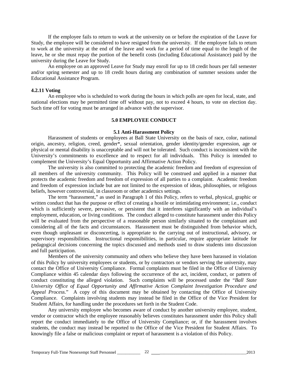If the employee fails to return to work at the university on or before the expiration of the Leave for Study, the employee will be considered to have resigned from the university. If the employee fails to return to work at the university at the end of the leave and work for a period of time equal to the length of the leave, he or she must repay the portion of the benefit costs (including Educational Assistance) paid by the university during the Leave for Study.

An employee on an approved Leave for Study may enroll for up to 18 credit hours per fall semester and/or spring semester and up to 18 credit hours during any combination of summer sessions under the Educational Assistance Program.

#### **4.2.11 Voting**

An employee who is scheduled to work during the hours in which polls are open for local, state, and national elections may be permitted time off without pay, not to exceed 4 hours, to vote on election day. Such time off for voting must be arranged in advance with the supervisor.

#### **5.0 EMPLOYEE CONDUCT**

#### **5.1 Anti-Harassment Policy**

Harassment of students or employees at Ball State University on the basis of race, color, national origin, ancestry, religion, creed, gender\*, sexual orientation, gender identity/gender expression, age or physical or mental disability is unacceptable and will not be tolerated. Such conduct is inconsistent with the University's commitments to excellence and to respect for all individuals. This Policy is intended to complement the University's Equal Opportunity and Affirmative Action Policy.

The university is also committed to protecting the academic freedom and freedom of expression of all members of the university community. This Policy will be construed and applied in a manner that protects the academic freedom and freedom of expression of all parties to a complaint. Academic freedom and freedom of expression include but are not limited to the expression of ideas, philosophies, or religious beliefs, however controversial, in classroom or other academics settings.

The term "harassment," as used in Paragraph 1 of this Policy, refers to verbal, physical, graphic or written conduct that has the purpose or effect of creating a hostile or intimidating environment; i.e., conduct which is sufficiently severe, pervasive, or persistent that it interferes significantly with an individual's employment, education, or living conditions. The conduct alleged to constitute harassment under this Policy will be evaluated from the perspective of a reasonable person similarly situated to the complainant and considering all of the facts and circumstances. Harassment must be distinguished from behavior which, even though unpleasant or disconcerting, is appropriate to the carrying out of instructional, advisory, or supervisory responsibilities. Instructional responsibilities, in particular, require appropriate latitude for pedagogical decisions concerning the topics discussed and methods used to draw students into discussion and full participation.

Members of the university community and others who believe they have been harassed in violation of this Policy by university employees or students, or by contractors or vendors serving the university, may contact the Office of University Compliance. Formal complaints must be filed in the Office of University Compliance within 45 calendar days following the occurrence of the act, incident, conduct, or pattern of conduct constituting the alleged violation. Such complaints will be processed under the "*Ball State University Office of Equal Opportunity and Affirmative Action Complaint Investigation Procedure and Appeal Process.*" A copy of this document may be obtained by contacting the Office of University Compliance. Complaints involving students may instead be filed in the Office of the Vice President for Student Affairs, for handling under the procedures set forth in the Student Code.

Any university employee who becomes aware of conduct by another university employee, student, vendor or contractor which the employee reasonably believes constitutes harassment under this Policy shall report the conduct immediately to the Office of University Compliance; or, if the harassment involves students, the conduct may instead be reported to the Office of the Vice President for Student Affairs. To knowingly file a false or malicious complaint or report of harassment is a violation of this Policy.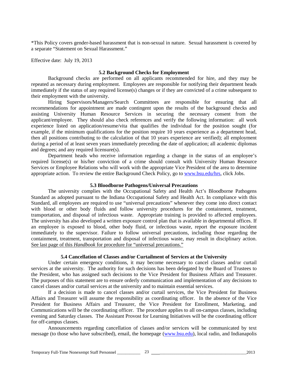\*This Policy covers gender-based harassment that is non-sexual in nature. Sexual harassment is covered by a separate "Statement on Sexual Harassment."

Effective date: July 19, 2013

#### **5.2 Background Checks for Employment**

Background checks are performed on all applicants recommended for hire, and they may be repeated as necessary during employment. Employees are responsible for notifying their department heads immediately if the status of any required license(s) changes or if they are convicted of a crime subsequent to their employment with the university.

Hiring Supervisors/Managers/Search Committees are responsible for ensuring that all recommendations for appointment are made contingent upon the results of the background checks and assisting University Human Resource Services in securing the necessary consent from the applicant/employee. They should also check references and verify the following information: all work experience listed on application/resume/vita that qualifies the individual for the position sought (for example, if the minimum qualifications for the position require 10 years experience as a department head, then all positions contributing to the calculation of that 10 years experience are verified); all employment during a period of at least seven years immediately preceding the date of application; all academic diplomas and degrees; and any required licensure(s).

Department heads who receive information regarding a change in the status of an employee's required license(s) or his/her conviction of a crime should consult with University Human Resource Services or Employee Relations who will work with the appropriate Vice President of the area to determine appropriate action. To review the entire Background Check Policy, go to [www.bsu.edu/hrs,](http://www.bsu.edu/hrs) click Jobs.

#### **5.3 Bloodborne Pathogens/Universal Precautions**

The university complies with the Occupational Safety and Health Act's Bloodborne Pathogens Standard as adopted pursuant to the Indiana Occupational Safety and Health Act. In compliance with this Standard, all employees are required to use "universal precautions" whenever they come into direct contact with blood or other body fluids and follow university procedures for the containment, treatment, transportation, and disposal of infectious waste. Appropriate training is provided to affected employees. The university has also developed a written exposure control plan that is available in departmental offices. If an employee is exposed to blood, other body fluid, or infectious waste, report the exposure incident immediately to the supervisor. Failure to follow universal precautions, including those regarding the containment, treatment, transportation and disposal of infectious waste, may result in disciplinary action. See last page of this *Handbook* for procedure for "universal precautions."

#### **5.4 Cancellation of Classes and/or Curtailment of Services at the University**

Under certain emergency conditions, it may become necessary to cancel classes and/or curtail services at the university. The authority for such decisions has been delegated by the Board of Trustees to the President, who has assigned such decisions to the Vice President for Business Affairs and Treasurer. The purposes of this statement are to ensure orderly communication and implementation of any decisions to cancel classes and/or curtail services at the university and to maintain essential services.

If a decision is made to cancel classes and/or curtail services, the Vice President for Business Affairs and Treasurer will assume the responsibility as coordinating officer. In the absence of the Vice President for Business Affairs and Treasurer, the Vice President for Enrollment, Marketing, and Communications will be the coordinating officer. The procedure applies to all on-campus classes, including evening and Saturday classes. The Assistant Provost for Learning Initiatives will be the coordinating officer for off-campus classes.

Announcements regarding cancellation of classes and/or services will be communicated by text message (to those who have subscribed), email, the homepage [\(www.bsu.edu\)](http://www.bsu.edu/), local radio, and Indianapolis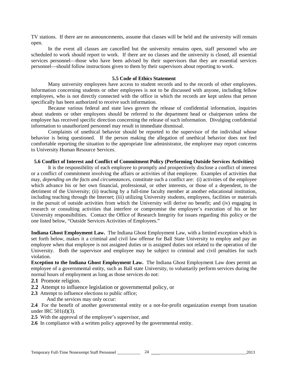TV stations. If there are no announcements, assume that classes will be held and the university will remain open.

In the event all classes are cancelled but the university remains open, staff personnel who are scheduled to work should report to work. If there are no classes and the university is closed, all essential services personnel—those who have been advised by their supervisors that they are essential services personnel—should follow instructions given to them by their supervisors about reporting to work.

#### **5.5 Code of Ethics Statement**

Many university employees have access to student records and to the records of other employees. Information concerning students or other employees is not to be discussed with anyone, including fellow employees, who is not directly connected with the office in which the records are kept unless that person specifically has been authorized to receive such information.

Because various federal and state laws govern the release of confidential information, inquiries about students or other employees should be referred to the department head or chairperson unless the employee has received specific direction concerning the release of such information. Divulging confidential information to unauthorized personnel may result in immediate dismissal.

Complaints of unethical behavior should be reported to the supervisor of the individual whose behavior is being questioned. If the person making the allegation of unethical behavior does not feel comfortable reporting the situation to the appropriate line administrator, the employee may report concerns to University Human Resource Services.

# **5.6 Conflict of Interest and Conflict of Commitment Policy (Performing Outside Services Activities)**

It is the responsibility of each employee to promptly and prospectively disclose a conflict of interest or a conflict of commitment involving the affairs or activities of that employee. Examples of activities that may, *depending on the facts and circumstances,* constitute such a conflict are: (i) activities of the employee which advance his or her own financial, professional, or other interests, or those of a dependent, to the detriment of the University; (ii) teaching by a full-time faculty member at another educational institution, including teaching through the Internet; (iii) utilizing University students, employees, facilities or materials in the pursuit of outside activities from which the University will derive no benefit; and (iv) engaging in research or consulting activities that interfere or compromise the employee's execution of his or her University responsibilities. Contact the Office of Research Integrity for issues regarding this policy or the one listed below, "Outside Services Activities of Employees."

**Indiana Ghost Employment Law.** The Indiana Ghost Employment Law, with a limited exception which is set forth below, makes it a criminal and civil law offense for Ball State University to employ and pay an employee when that employee is not assigned duties or is assigned duties not related to the operation of the University. Both the supervisor and employee may be subject to criminal and civil penalties for such violation.

**Exception to the Indiana Ghost Employment Law.** The Indiana Ghost Employment Law does permit an employee of a governmental entity, such as Ball state University, to voluntarily perform services during the normal hours of employment as long as those services do not:

- **2.1** Promote religion.
- **2.2** Attempt to influence legislation or governmental policy, or
- **2.3** Attempt to influence elections to public office; And the services may only occur:

**2.4** For the benefit of another governmental entity or a not-for-profit organization exempt from taxation under IRC 501(d)(3).

- **2.5** With the approval of the employee's supervisor, and
- **2.6** In compliance with a written policy approved by the governmental entity.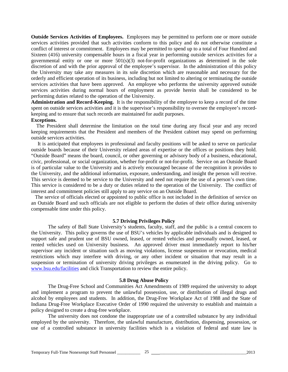**Outside Services Activities of Employees.** Employees may be permitted to perform one or more outside services activities provided that such activities conform to this policy and do not otherwise constitute a conflict of interest or commitment. Employees may be permitted to spend up to a total of Four Hundred and Sixteen (416) university compensable hours in a fiscal year in performing outside services activities for a governmental entity or one or more  $501(s)(3)$  not-for-profit organizations as determined in the sole discretion of and with the prior approval of the employee's supervisor. In the administration of this policy the University may take any measures in its sole discretion which are reasonable and necessary for the orderly and efficient operation of its business, including but not limited to altering or terminating the outside services activities that have been approved. An employee who performs the university approved outside services activities during normal hours of employment as provide herein shall be considered to be performing duties related to the operation of the University.

**Administration and Record-Keeping.** It is the responsibility of the employee to keep a record of the time spent on outside services activities and it is the supervisor's responsibility to oversee the employee's recordkeeping and to ensure that such records are maintained for audit purposes.

#### **Exceptions.**

The President shall determine the limitation on the total time during any fiscal year and any record keeping requirements that the President and members of the President cabinet may spend on performing outside services activities.

It is anticipated that employees in professional and faculty positions will be asked to serve on particular outside boards because of their University related areas of expertise or the offices or positions they hold. "Outside Board" means the board, council, or other governing or advisory body of a business, educational, civic, professional, or social organization, whether for-profit or not-for-profit. Service on an Outside Board is of particular value to the University and is actively encouraged because of the recognition it provides to the University, and the additional information, exposure, understanding, and insight the person will receive. This service is deemed to be service to the University and need not require the use of a person's own time. This service is considered to be a duty or duties related to the operation of the University. The conflict of interest and commitment policies still apply to any service on an Outside Board.

 The service of officials elected or appointed to public office is not included in the definition of service on an Outside Board and such officials are not eligible to perform the duties of their office during university compensable time under this policy.

# **5.7 Driving Privileges Policy**

The safety of Ball State University's students, faculty, staff, and the public is a central concern to the University. This policy governs the use of BSU's vehicles by applicable individuals and is designed to support safe and prudent use of BSU owned, leased, or rented vehicles and personally owned, leased, or rented vehicles used on University business. An approved driver must immediately report to his/her supervisor any incident or situation such as moving violations, license suspension or revocation, medical restrictions which may interfere with driving, or any other incident or situation that may result in a suspension or termination of university driving privileges as enumerated in the driving policy. Go to [www.bsu.edu/facilities](http://www.bsu.edu/facilities) and click Transportation to review the entire policy.

#### **5.8 Drug Abuse Policy**

The Drug-Free School and Communities Act Amendments of 1989 required the university to adopt and implement a program to prevent the unlawful possession, use, or distribution of illegal drugs and alcohol by employees and students. In addition, the Drug-Free Workplace Act of 1988 and the State of Indiana Drug-Free Workplace Executive Order of 1990 required the university to establish and maintain a policy designed to create a drug-free workplace.

The university does not condone the inappropriate use of a controlled substance by any individual employed by the university. Therefore, the unlawful manufacture, distribution, dispensing, possession, or use of a controlled substance in university facilities which is a violation of federal and state law is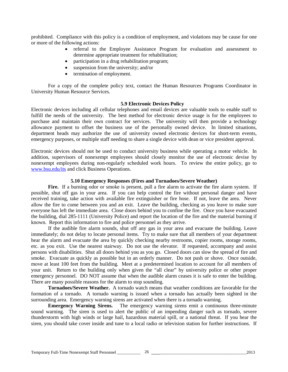prohibited. Compliance with this policy is a condition of employment, and violations may be cause for one or more of the following actions:

- referral to the Employee Assistance Program for evaluation and assessment to determine appropriate treatment for rehabilitation;
- participation in a drug rehabilitation program;
- suspension from the university; and/or
- termination of employment.

For a copy of the complete policy text, contact the Human Resources Programs Coordinator in University Human Resource Services.

#### **5.9 Electronic Devices Policy**

Electronic devices including all cellular telephones and email devices are valuable tools to enable staff to fulfill the needs of the university. The best method for electronic device usage is for the employees to purchase and maintain their own contract for services. The university will then provide a technology allowance payment to offset the business use of the personally owned device. In limited situations, department heads may authorize the use of university owned electronic devices for short-term events, emergency purposes, or multiple staff needing to share a single device with dean or vice president approval.

Electronic devices should not be used to conduct university business while operating a motor vehicle. In addition, supervisors of nonexempt employees should closely monitor the use of electronic devise by nonexempt employees during non-regularly scheduled work hours. To review the entire policy, go to [www.bsu.edu/its](http://www.bsu.edu/its) and click Business Operations.

# **5.10 Emergency Responses (Fires and Tornadoes/Severe Weather)**

Fire. If a burning odor or smoke is present, pull a fire alarm to activate the fire alarm system. If possible, shut off gas in your area. If you can help control the fire without personal danger and have received training, take action with available fire extinguisher or fire hose. If not, leave the area. Never allow the fire to come between you and an exit. Leave the building, checking as you leave to make sure everyone has left the immediate area. Close doors behind you to confine the fire. Once you have evacuated the building, dial 285-1111 (University Police) and report the location of the fire and the material burning if known. Report this information to fire and police personnel as they arrive.

If the audible fire alarm sounds, shut off any gas in your area and evacuate the building. Leave immediately; do not delay to locate personal items. Try to make sure that all members of your department hear the alarm and evacuate the area by quickly checking nearby restrooms, copier rooms, storage rooms, etc. as you exit. Use the nearest stairway. Do not use the elevator. If requested, accompany and assist persons with disabilities. Shut all doors behind you as you go. Closed doors can slow the spread of fire and smoke. Evacuate as quickly as possible but in an orderly manner. Do not push or shove. Once outside, move at least 100 feet from the building. Meet at a predetermined location to account for all members of your unit. Return to the building only when given the "all clear" by university police or other proper emergency personnel. DO NOT assume that when the audible alarm ceases it is safe to enter the building. There are many possible reasons for the alarm to stop sounding.

**Tornadoes/Severe Weather.** A tornado watch means that weather conditions are favorable for the formation of a tornado. A tornado warning is issued when a tornado has actually been sighted in the surrounding area. Emergency warning sirens are activated when there is a tornado warning.

**Emergency Warning Sirens.** The emergency warning sirens emit a continuous three-minute sound warning. The siren is used to alert the public of an impending danger such as tornado, severe thunderstorm with high winds or large hail, hazardous material spill, or a national threat. If you hear the siren, you should take cover inside and tune to a local radio or television station for further instructions. If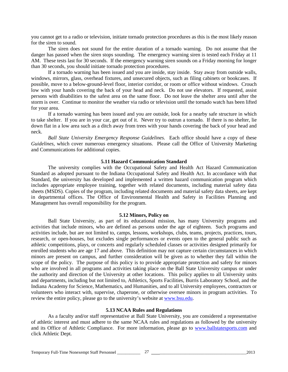you cannot get to a radio or television, initiate tornado protection procedures as this is the most likely reason for the siren to sound.

The siren does not sound for the entire duration of a tornado warning. Do not assume that the danger has passed when the siren stops sounding. The emergency warning siren is tested each Friday at 11 AM. These tests last for 30 seconds. If the emergency warning siren sounds on a Friday morning for longer than 30 seconds, you should initiate tornado protection procedures.

If a tornado warning has been issued and you are inside, stay inside. Stay away from outside walls, windows, mirrors, glass, overhead fixtures, and unsecured objects, such as filing cabinets or bookcases. If possible, move to a below-ground-level floor, interior corridor, or room or office without windows. Crouch low with your hands covering the back of your head and neck. Do not use elevators. If requested, assist persons with disabilities to the safest area on the same floor. Do not leave the shelter area until after the storm is over. Continue to monitor the weather via radio or television until the tornado watch has been lifted for your area.

If a tornado warning has been issued and you are outside, look for a nearby safe structure in which to take shelter. If you are in your car, get out of it. Never try to outrun a tornado. If there is no shelter, lie down flat in a low area such as a ditch away from trees with your hands covering the back of your head and neck.

*Ball State University Emergency Response Guidelines.* Each office should have a copy of these *Guidelines,* which cover numerous emergency situations. Please call the Office of University Marketing and Communications for additional copies.

# **5.11 Hazard Communication Standard**

The university complies with the Occupational Safety and Health Act Hazard Communication Standard as adopted pursuant to the Indiana Occupational Safety and Health Act. In accordance with that Standard, the university has developed and implemented a written hazard communication program which includes appropriate employee training, together with related documents, including material safety data sheets (MSDS). Copies of the program, including related documents and material safety data sheets, are kept in departmental offices. The Office of Environmental Health and Safety in Facilities Planning and Management has overall responsibility for the program.

#### **5.12 Minors, Policy on**

Ball State University, as part of its educational mission, has many University programs and activities that include minors, who are defined as persons under the age of eighteen. Such programs and activities include, but are not limited to, camps, lessons, workshops, clubs, teams, projects, practices, tours, research, or open-houses, but excludes single performances or events open to the general public such as athletic competitions, plays, or concerts and regularly scheduled classes or activities designed primarily for enrolled students who are age 17 and above. This definition may not capture certain circumstances in which minors are present on campus, and further consideration will be given as to whether they fall within the scope of the policy. The purpose of this policy is to provide appropriate protection and safety for minors who are involved in all programs and activities taking place on the Ball State University campus or under the authority and direction of the University at other locations. This policy applies to all University units and departments, including but not limited to, Athletics, Sports Facilities, Burris Laboratory School, and the Indiana Academy for Science, Mathematics, and Humanities, and to all University employees, contractors or volunteers who interact with, supervise, chaperone, or otherwise oversee minors in program activities. To review the entire policy, please go to the university's website at [www.bsu.edu.](http://www.bsu.edu/)

#### **5.13 NCAA Rules and Regulations**

As a faculty and/or staff representative at Ball State University, you are considered a representative of athletic interest and must adhere to the same NCAA rules and regulations as followed by the university and its Office of Athletic Compliance. For more information, please go to [www.ballstatesports.com](http://www.ballstatesports.com/) and click Athletic Dept.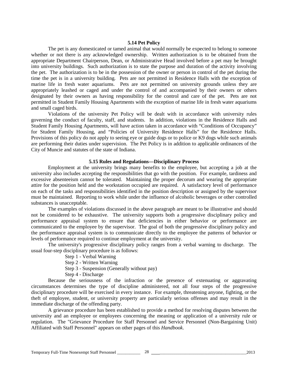#### **5.14 Pet Policy**

The pet is any domesticated or tamed animal that would normally be expected to belong to someone whether or not there is any acknowledged ownership. Written authorization is to be obtained from the appropriate Department Chairperson, Dean, or Administrative Head involved before a pet may be brought into university buildings. Such authorization is to state the purpose and duration of the activity involving the pet. The authorization is to be in the possession of the owner or person in control of the pet during the time the pet is in a university building. Pets are not permitted in Residence Halls with the exception of marine life in fresh water aquariums. Pets are not permitted on university grounds unless they are appropriately leashed or caged and under the control of and accompanied by their owners or others designated by their owners as having responsibility for the control and care of the pet. Pets are not permitted in Student Family Housing Apartments with the exception of marine life in fresh water aquariums and small caged birds.

Violations of the university Pet Policy will be dealt with in accordance with university rules governing the conduct of faculty, staff, and students. In addition, violations in the Residence Halls and Student Family Housing Apartments, will have action taken in accordance with "Conditions of Occupancy" for Student Family Housing, and "Policies of University Residence Halls" for the Residence Halls. Provisions of this policy do not apply to seeing eye or guide dogs or to police or K9 dogs while such animals are performing their duties under supervision. The Pet Policy is in addition to applicable ordinances of the City of Muncie and statutes of the state of Indiana.

#### **5.15 Rules and Regulations—Disciplinary Process**

Employment at the university brings many benefits to the employee, but accepting a job at the university also includes accepting the responsibilities that go with the position. For example, tardiness and excessive absenteeism cannot be tolerated. Maintaining the proper decorum and wearing the appropriate attire for the position held and the workstation occupied are required. A satisfactory level of performance on each of the tasks and responsibilities identified in the position description or assigned by the supervisor must be maintained. Reporting to work while under the influence of alcoholic beverages or other controlled substances is unacceptable.

The examples of violations discussed in the above paragraph are meant to be illustrative and should not be considered to be exhaustive. The university supports both a progressive disciplinary policy and performance appraisal system to ensure that deficiencies in either behavior or performance are communicated to the employee by the supervisor. The goal of both the progressive disciplinary policy and the performance appraisal system is to communicate directly to the employee the patterns of behavior or levels of performance required to continue employment at the university.

The university's progressive disciplinary policy ranges from a verbal warning to discharge. The usual four-step disciplinary procedure is as follows:

Step 1 - Verbal Warning

Step 2 - Written Warning

Step 3 - Suspension (Generally without pay)

Step 4 - Discharge

Because the seriousness of the infraction or the presence of extenuating or aggravating circumstances determines the type of discipline administered, not all four steps of the progressive disciplinary procedure will be exercised in every instance. For example, threatening anyone, fighting, or the theft of employee, student, or university property are particularly serious offenses and may result in the immediate discharge of the offending party.

A grievance procedure has been established to provide a method for resolving disputes between the university and an employee or employees concerning the meaning or application of a university rule or regulation. The "Grievance Procedure for Staff Personnel and Service Personnel (Non-Bargaining Unit) Affiliated with Staff Personnel" appears on other pages of this *Handbook*.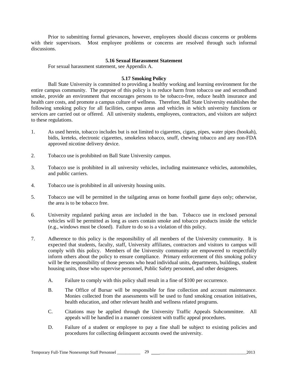Prior to submitting formal grievances, however, employees should discuss concerns or problems with their supervisors. Most employee problems or concerns are resolved through such informal discussions.

# **5.16 Sexual Harassment Statement**

For sexual harassment statement, see Appendix A.

# **5.17 Smoking Policy**

Ball State University is committed to providing a healthy working and learning environment for the entire campus community. The purpose of this policy is to reduce harm from tobacco use and secondhand smoke, provide an environment that encourages persons to be tobacco-free, reduce health insurance and health care costs, and promote a campus culture of wellness. Therefore, Ball State University establishes the following smoking policy for all facilities, campus areas and vehicles in which university functions or services are carried out or offered. All university students, employees, contractors, and visitors are subject to these regulations.

- 1. As used herein, tobacco includes but is not limited to cigarettes, cigars, pipes, water pipes (hookah), bidis, kreteks, electronic cigarettes, smokeless tobacco, snuff, chewing tobacco and any non-FDA approved nicotine delivery device.
- 2. Tobacco use is prohibited on Ball State University campus.
- 3. Tobacco use is prohibited in all university vehicles, including maintenance vehicles, automobiles, and public carriers.
- 4. Tobacco use is prohibited in all university housing units.
- 5. Tobacco use will be permitted in the tailgating areas on home football game days only; otherwise, the area is to be tobacco free.
- 6. University regulated parking areas are included in the ban. Tobacco use in enclosed personal vehicles will be permitted as long as users contain smoke and tobacco products inside the vehicle (e.g., windows must be closed). Failure to do so is a violation of this policy.
- 7. Adherence to this policy is the responsibility of all members of the University community. It is expected that students, faculty, staff, University affiliates, contractors and visitors to campus will comply with this policy. Members of the University community are empowered to respectfully inform others about the policy to ensure compliance. Primary enforcement of this smoking policy will be the responsibility of those persons who head individual units, departments, buildings, student housing units, those who supervise personnel, Public Safety personnel, and other designees.
	- A. Failure to comply with this policy shall result in a fine of \$100 per occurrence.
	- B. The Office of Bursar will be responsible for fine collection and account maintenance. Monies collected from the assessments will be used to fund smoking cessation initiatives, health education, and other relevant health and wellness related programs.
	- C. Citations may be applied through the University Traffic Appeals Subcommittee. All appeals will be handled in a manner consistent with traffic appeal procedures.
	- D. Failure of a student or employee to pay a fine shall be subject to existing policies and procedures for collecting delinquent accounts owed the university.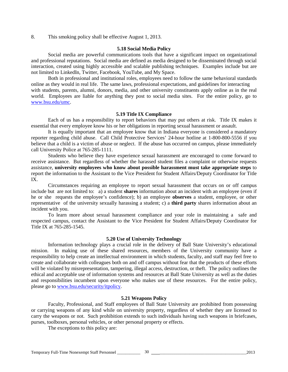8. This smoking policy shall be effective August 1, 2013.

#### **5.18 Social Media Policy**

Social media are powerful communications tools that have a significant impact on organizational and professional reputations. Social media are defined as media designed to be disseminated through social interaction, created using highly accessible and scalable publishing techniques. Examples include but are not limited to LinkedIn, Twitter, Facebook, YouTube, and My Space.

Both in professional and institutional roles, employees need to follow the same behavioral standards online as they would in real life. The same laws, professional expectations, and guidelines for interacting with students, parents, alumni, donors, media, and other university constituents apply online as in the real world. Employees are liable for anything they post to social media sites. For the entire policy, go to [www.bsu.edu/umc.](http://www.bsu.edu/umc)

#### **5.19 Title IX Compliance**

Each of us has a responsibility to report behaviors that may put others at risk. Title IX makes it essential that every employee know his or her obligations in reporting sexual harassment or assault.

It is equally important that an employee know that in Indiana everyone is considered a mandatory reporter regarding child abuse. Call Child Protective Services' 24-hour hotline at 1-800-800-5556 if you believe that a child is a victim of abuse or neglect. If the abuse has occurred on campus, please immediately call University Police at 765-285-1111.

Students who believe they have experience sexual harassment are encouraged to come forward to receive assistance. But regardless of whether the harassed student files a complaint or otherwise requests assistance, **university employees who know about possible harassment must take appropriate steps** to report the information to the Assistant to the Vice President for Student Affairs/Deputy Coordinator for Title IX.

Circumstances requiring an employee to report sexual harassment that occurs on or off campus include but are not limited to: a) a student **shares** information about an incident with an employee (even if he or she requests the employee's confidence); b) an employee **observes** a student, employee, or other representative of the university sexually harassing a student; c) a **third party** shares information about an incident with you.

To learn more about sexual harassment compliance and your role in maintaining a safe and respected campus, contact the Assistant to the Vice President for Student Affairs/Deputy Coordinator for Title IX at 765-285-1545.

# **5.20 Use of University Technology**

Information technology plays a crucial role in the delivery of Ball State University's educational mission. In making use of these shared resources, members of the University community have a responsibility to help create an intellectual environment in which students, faculty, and staff may feel free to create and collaborate with colleagues both on and off campus without fear that the products of these efforts will be violated by misrepresentation, tampering, illegal access, destruction, or theft. The policy outlines the ethical and acceptable use of information systems and resources at Ball State University as well as the duties and responsibilities incumbent upon everyone who makes use of these resources. For the entire policy, please go to [www.bsu.edu/security/itpolicy.](http://www.bsu.edu/security/itpolicy)

# **5.21 Weapons Policy**

Faculty, Professional, and Staff employees of Ball State University are prohibited from possessing or carrying weapons of any kind while on university property, regardless of whether they are licensed to carry the weapons or not. Such prohibition extends to such individuals having such weapons in briefcases, purses, toolboxes, personal vehicles, or other personal property or effects.

The exceptions to this policy are: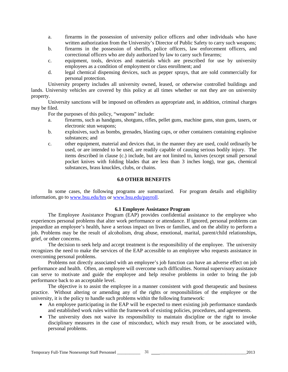- a. firearms in the possession of university police officers and other individuals who have written authorization from the University's Director of Public Safety to carry such weapons;
- b. firearms in the possession of sheriffs, police officers, law enforcement officers, and correctional officers who are duly authorized by law to carry such firearms;
- c. equipment, tools, devices and materials which are prescribed for use by university employees as a condition of employment or class enrollment; and
- d. legal chemical dispensing devices, such as pepper sprays, that are sold commercially for personal protection.

University property includes all university owned, leased, or otherwise controlled buildings and lands. University vehicles are covered by this policy at all times whether or not they are on university property.

University sanctions will be imposed on offenders as appropriate and, in addition, criminal charges may be filed.

For the purposes of this policy, "weapons" include:

- a. firearms, such as handguns, shotguns, rifles, pellet guns, machine guns, stun guns, tasers, or electronic stun weapons;
- b. explosives, such as bombs, grenades, blasting caps, or other containers containing explosive substances; and
- c. other equipment, material and devices that, in the manner they are used, could ordinarily be used, or are intended to be used, are readily capable of causing serious bodily injury. The items described in clause (c.) include, but are not limited to, knives (except small personal pocket knives with folding blades that are less than 3 inches long), tear gas, chemical substances, brass knuckles, clubs, or chains.

# **6.0 OTHER BENEFITS**

In some cases, the following programs are summarized. For program details and eligibility information, go t[o www.bsu.edu/hrs](http://www.bsu.edu/hrs) or [www.bsu.edu/payroll.](http://www.bsu.edu/payroll)

# **6.1 Employee Assistance Program**

The Employee Assistance Program (EAP) provides confidential assistance to the employee who experiences personal problems that alter work performance or attendance. If ignored, personal problems can jeopardize an employee's health, have a serious impact on lives or families, and on the ability to perform a job. Problems may be the result of alcoholism, drug abuse, emotional, marital, parent/child relationships, grief, or other concerns.

The decision to seek help and accept treatment is the responsibility of the employee. The university recognizes the need to make the services of the EAP accessible to an employee who requests assistance in overcoming personal problems.

Problems not directly associated with an employee's job function can have an adverse effect on job performance and health. Often, an employee will overcome such difficulties. Normal supervisory assistance can serve to motivate and guide the employee and help resolve problems in order to bring the job performance back to an acceptable level.

The objective is to assist the employee in a manner consistent with good therapeutic and business practice. Without altering or amending any of the rights or responsibilities of the employee or the university, it is the policy to handle such problems within the following framework:

- An employee participating in the EAP will be expected to meet existing job performance standards and established work rules within the framework of existing policies, procedures, and agreements.
- The university does not waive its responsibility to maintain discipline or the right to invoke disciplinary measures in the case of misconduct, which may result from, or be associated with, personal problems.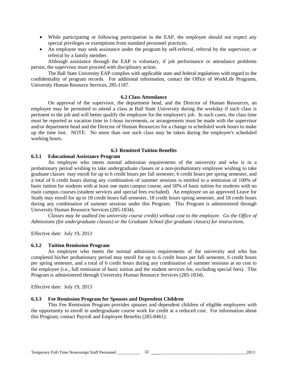- While participating or following participation in the EAP, the employee should not expect any special privileges or exemptions from standard personnel practices.
- An employee may seek assistance under the program by self-referral, referral by the supervisor, or referral by a family member.

Although assistance through the EAP is voluntary, if job performance or attendance problems persist, the supervisor must proceed with disciplinary action.

The Ball State University EAP complies with applicable state and federal regulations with regard to the confidentiality of program records. For additional information, contact the Office of WorkLife Programs, University Human Resource Services, 285-1187.

#### **6.2 Class Attendance**

On approval of the supervisor, the department head, and the Director of Human Resources, an employee may be permitted to attend a class at Ball State University during the workday if such class is pertinent to the job and will better qualify the employee for the employee's job. In such cases, the class time must be reported as vacation time in 1-hour increments, or arrangements must be made with the supervisor and/or department head and the Director of Human Resources for a change in scheduled work hours to make up the time lost. NOTE: No more than one such class may be taken during the employee's scheduled working hours.

# **6.3 Remitted Tuition Benefits**

# **6.3.1 Educational Assistance Program**

An employee who meets normal admission requirements of the university and who is in a probationary period wishing to take undergraduate classes or a non-probationary employee wishing to take graduate classes may enroll for up to 6 credit hours per fall semester, 6 credit hours per spring semester, and a total of 6 credit hours during any combination of summer sessions is entitled to a remission of 100% of basic tuition for students with at least one main campus course, and 50% of basic tuition for students with no main campus courses (student services and special fees excluded). An employee on an approved Leave for Study may enroll for up to 18 credit hours fall semester, 18 credit hours spring semester, and 18 credit hours during any combination of summer sessions under this Program. This Program is administered through University Human Resource Services (285-1834).

*Classes may be audited (no university course credit) without cost to the employee. Go the Office of Admissions (for undergraduate classes) or the Graduate School (for graduate classes) for instructions.*

Effective date: July 19, 2013

# **6.3.2 Tuition Remission Program**

An employee who meets the normal admission requirements of the university and who has completed his/her probationary period may enroll for up to 6 credit hours per fall semester, 6 credit hours per spring semester, and a total of 6 credit hours during any combination of summer sessions at no cost to the employee (i.e., full remission of basic tuition and the student services fee, excluding special fees). This Program is administered through University Human Resource Services (285-1834).

Effective date: July 19, 2013

# **6.3.3 Fee Remission Program for Spouses and Dependent Children**

This Fee Remission Program provides spouses and dependent children of eligible employees with the opportunity to enroll in undergraduate course work for credit at a reduced cost. For information about this Program, contact Payroll and Employee Benefits (285-8461).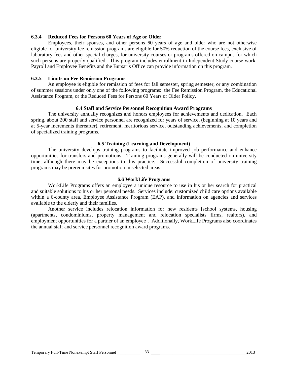# **6.3.4 Reduced Fees for Persons 60 Years of Age or Older**

Employees, their spouses, and other persons 60 years of age and older who are not otherwise eligible for university fee remission programs are eligible for 50% reduction of the course fees, exclusive of laboratory fees and other special charges, for university courses or programs offered on campus for which such persons are properly qualified. This program includes enrollment in Independent Study course work. Payroll and Employee Benefits and the Bursar's Office can provide information on this program.

# **6.3.5 Limits on Fee Remission Programs**

An employee is eligible for remission of fees for fall semester, spring semester, or any combination of summer sessions under only one of the following programs: the Fee Remission Program, the Educational Assistance Program, or the Reduced Fees for Persons 60 Years or Older Policy.

#### **6.4 Staff and Service Personnel Recognition Award Programs**

The university annually recognizes and honors employees for achievements and dedication. Each spring, about 200 staff and service personnel are recognized for years of service, (beginning at 10 years and at 5-year increments thereafter), retirement, meritorious service, outstanding achievements, and completion of specialized training programs.

#### **6.5 Training (Learning and Development)**

The university develops training programs to facilitate improved job performance and enhance opportunities for transfers and promotions. Training programs generally will be conducted on university time, although there may be exceptions to this practice. Successful completion of university training programs may be prerequisites for promotion in selected areas.

#### **6.6 WorkLife Programs**

WorkLife Programs offers an employee a unique resource to use in his or her search for practical and suitable solutions to his or her personal needs. Services include: customized child care options available within a 6-county area, Employee Assistance Program (EAP), and information on agencies and services available to the elderly and their families.

Another service includes relocation information for new residents [school systems, housing (apartments, condominiums, property management and relocation specialists firms, realtors), and employment opportunities for a partner of an employee]. Additionally, WorkLife Programs also coordinates the annual staff and service personnel recognition award programs.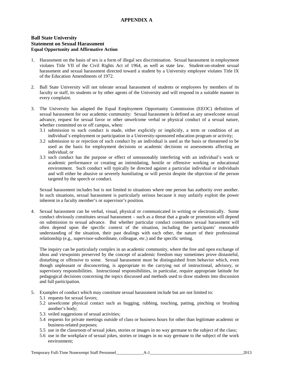# **APPENDIX A**

# **Ball State University Statement on Sexual Harassment Equal Opportunity and Affirmative Action**

- 1. Harassment on the basis of sex is a form of illegal sex discrimination. Sexual harassment in employment violates Title VII of the Civil Rights Act of 1964, as well as state law. Student-on-student sexual harassment and sexual harassment directed toward a student by a University employee violates Title IX of the Education Amendments of 1972.
- 2. Ball State University will not tolerate sexual harassment of students or employees by members of its faculty or staff, its students or by other agents of the University and will respond in a suitable manner to every complaint.
- 3. The University has adapted the Equal Employment Opportunity Commission (EEOC) definition of sexual harassment for our academic community: Sexual harassment is defined as any unwelcome sexual advance, request for sexual favor or other unwelcome verbal or physical conduct of a sexual nature, whether committed on or off campus, when:
	- 3.1 submission to such conduct is made, either explicitly or implicitly, a term or condition of an individual's employment or participation in a University-sponsored education program or activity;
	- 3.2 submission to or rejection of such conduct by an individual is used as the basis or threatened to be used as the basis for employment decisions or academic decisions or assessments affecting an individual; or
	- 3.3 such conduct has the purpose or effect of unreasonably interfering with an individual's work or academic performance or creating an intimidating, hostile or offensive working or educational environment. Such conduct will typically be directed against a particular individual or individuals and will either be abusive or severely humiliating or will persist despite the objection of the person targeted by the speech or conduct.

Sexual harassment includes but is not limited to situations where one person has authority over another. In such situations, sexual harassment is particularly serious because it may unfairly exploit the power inherent in a faculty member's or supervisor's position.

4. Sexual harassment can be verbal, visual, physical or communicated in writing or electronically. Some conduct obviously constitutes sexual harassment – such as a threat that a grade or promotion will depend on submission to sexual advance. But whether particular conduct constitutes sexual harassment will often depend upon the specific context of the situation, including the participants' reasonable understanding of the situation, their past dealings with each other, the nature of their professional relationship (e.g., supervisor-subordinate, colleague, etc.) and the specific setting.

The inquiry can be particularly complex in an academic community, where the free and open exchange of ideas and viewpoints preserved by the concept of academic freedom may sometimes prove distasteful, disturbing or offensive to some. Sexual harassment must be distinguished from behavior which, even though unpleasant or disconcerting, is appropriate to the carrying out of instructional, advisory, or supervisory responsibilities. Instructional responsibilities, in particular, require appropriate latitude for pedagogical decisions concerning the topics discussed and methods used to draw students into discussion and full participation.

- 5. Examples of conduct which may constitute sexual harassment include but are not limited to:
	- 5.1 requests for sexual favors;
	- 5.2 unwelcome physical contact such as hugging, rubbing, touching, patting, pinching or brushing another's body;
	- 5.3 veiled suggestions of sexual activities;
	- 5.4 requests for private meetings outside of class or business hours for other than legitimate academic or business-related purposes;
	- 5.5 use in the classroom of sexual jokes, stories or images in no way germane to the subject of the class;
	- 5.6 use in the workplace of sexual jokes, stories or images in no way germane to the subject of the work environment;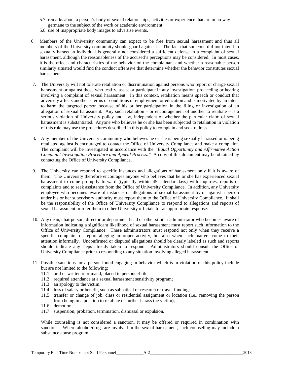- 5.7 remarks about a person's body or sexual relationships, activities or experience that are in no way germane to the subject of the work or academic environment;
- 5.8 use of inappropriate body images to advertise events.
- 6. Members of the University community can expect to be free from sexual harassment and thus all members of the University community should guard against it. The fact that someone did not intend to sexually harass an individual is generally not considered a sufficient defense to a complaint of sexual harassment, although the reasonableness of the accused's perceptions may be considered. In most cases, it is the effect and characteristics of the behavior on the complainant and whether a reasonable person similarly situated would find the conduct offensive that determine whether the behavior constitutes sexual harassment.
- 7. The University will not tolerate retaliation or discrimination against persons who report or charge sexual harassment or against those who testify, assist or participate in any investigation, proceeding or hearing involving a complaint of sexual harassment. In this context, retaliation means speech or conduct that adversely affects another's terms or conditions of employment or education and is motivated by an intent to harm the targeted person because of his or her participation in the filing or investigation of an allegation of sexual harassment. Any such retaliation – or encouragement of another to retaliate – is a serious violation of University policy and law, independent of whether the particular claim of sexual harassment is substantiated. Anyone who believes he or she has been subjected to retaliation in violation of this rule may use the procedures described in this policy to complain and seek redress.
- 8. Any member of the University community who believes he or she is being sexually harassed or is being retaliated against is encouraged to contact the Office of University Compliance and make a complaint. The complaint will be investigated in accordance with the *"Equal Opportunity and Affirmative Action Complaint Investigation Procedure and Appeal Process."* A copy of this document may be obtained by contacting the Office of University Compliance.
- 9. The University can respond to specific instances and allegations of harassment only if it is aware of them. The University therefore encourages anyone who believes that he or she has experienced sexual harassment to come promptly forward (typically within 45 calendar days) with inquiries, reports or complaints and to seek assistance from the Office of University Compliance. In addition, any University employee who becomes aware of instances or allegations of sexual harassment by or against a person under his or her supervisory authority must report them to the Office of University Compliance. It shall be the responsibility of the Office of University Compliance to respond to allegations and reports of sexual harassment or refer them to other University officials for an appropriate response.
- 10. Any dean, chairperson, director or department head or other similar administrator who becomes aware of information indicating a significant likelihood of sexual harassment must report such information to the Office of University Compliance. These administrators must respond not only when they receive a specific complaint or report alleging improper activity, but also when such matters come to their attention informally. Unconfirmed or disputed allegations should be clearly labeled as such and reports should indicate any steps already taken to respond. Administrators should consult the Office of University Compliance prior to responding to any situation involving alleged harassment.
- 11. Possible sanctions for a person found engaging in behavior which is in violation of this policy include but are not limited to the following:
	- 11.1 oral or written reprimand, placed in personnel file;
	- 11.2 required attendance at a sexual harassment sensitivity program;
	- 11.3 an apology to the victim;
	- 11.4 loss of salary or benefit, such as sabbatical or research or travel funding;
	- 11.5 transfer or change of job, class or residential assignment or location (i.e., removing the person from being in a position to retaliate or further harass the victim);
	- 11.6 demotion;
	- 11.7 suspension, probation, termination, dismissal or expulsion.

While counseling is not considered a sanction, it may be offered or required in combination with sanctions. Where alcohol/drugs are involved in the sexual harassment, such counseling may include a substance abuse program.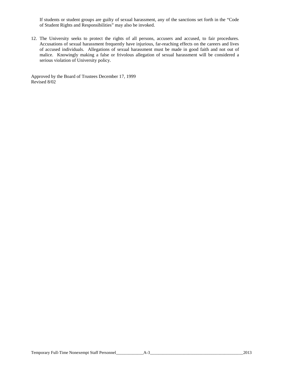If students or student groups are guilty of sexual harassment, any of the sanctions set forth in the "Code of Student Rights and Responsibilities" may also be invoked.

12. The University seeks to protect the rights of all persons, accusers and accused, to fair procedures. Accusations of sexual harassment frequently have injurious, far-reaching effects on the careers and lives of accused individuals. Allegations of sexual harassment must be made in good faith and not out of malice. Knowingly making a false or frivolous allegation of sexual harassment will be considered a serious violation of University policy.

Approved by the Board of Trustees December 17, 1999 Revised 8/02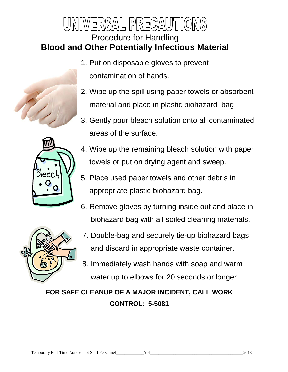# $|\Xi|$ n $\mathcal{S}$ ) $\mathcal{N}$  $\mathcal{L}[\mathcal{C}(\mathcal{C},\mathcal{C}](\mathcal{C})]$ Procedure for Handling **Blood and Other Potentially Infectious Material**





- 1. Put on disposable gloves to prevent contamination of hands.
- 2. Wipe up the spill using paper towels or absorbent material and place in plastic biohazard bag.
- 3. Gently pour bleach solution onto all contaminated areas of the surface.
- 4. Wipe up the remaining bleach solution with paper towels or put on drying agent and sweep.
- 5. Place used paper towels and other debris in appropriate plastic biohazard bag.
- 6. Remove gloves by turning inside out and place in biohazard bag with all soiled cleaning materials.



- 7. Double-bag and securely tie-up biohazard bags and discard in appropriate waste container.
- 8. Immediately wash hands with soap and warm water up to elbows for 20 seconds or longer.

**FOR SAFE CLEANUP OF A MAJOR INCIDENT, CALL WORK CONTROL: 5-5081**